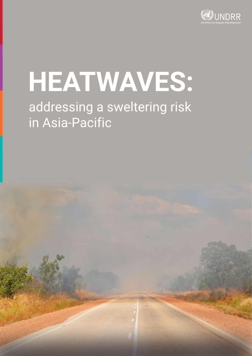

# HEATWAVES:

# addressing a sweltering risk in Asia-Pacific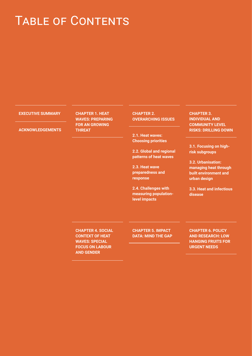### TABLE OF CONTENTS

#### **EXECUTIVE SUMMARY**

**CHAPTER 1. HEAT WAVES: PREPARING FOR AN GROWING THREAT** 

**CHAPTER 2. OVERARCHING ISSUES** 

**2.1. Heat waves: Choosing priorities**

**2.2. Global and regional patterns of heat waves**

**2.3. Heat wave preparedness and response**

**2.4. Challenges with measuring populationlevel impacts**

**CHAPTER 3. INDIVIDUAL AND COMMUNITY LEVEL RISKS: DRILLING DOWN** 

**3.1. Focusing on highrisk subgroups** 

**3.2. Urbanisation: managing heat through built environment and urban design**

**3.3. Heat and infectious disease**

**CHAPTER 4. SOCIAL CONTEXT OF HEAT WAVES: SPECIAL FOCUS ON LABOUR AND GENDER** 

**CHAPTER 5. IMPACT DATA: MIND THE GAP** **CHAPTER 6. POLICY AND RESEARCH: LOW HANGING FRUITS FOR URGENT NEEDS**

**ACKNOWLEDGEMENTS**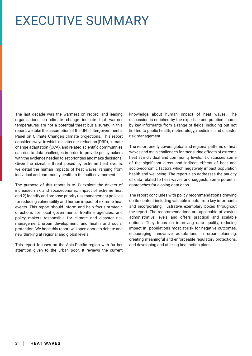# EXECUTIVE SUMMARY

The last decade was the warmest on record, and leading organisations on climate change indicate that warmer temperatures are not a potential threat but a surety. In this report, we take the assumption of the UN's Intergovernmental Panel on Climate Change's climate projections. This report considers ways in which disaster risk reduction (DRR), climate change adaptation (CCA), and related scientifc communities can rise to data challenges in order to provide policymakers with the evidence needed to set priorities and make decisions. Given the sizeable threat posed by extreme heat events, we detail the human impacts of heat waves, ranging from individual and community health to the built environment.

The purpose of this report is to 1) explore the drivers of increased risk and socioeconomic impact of extreme heat and 2) identify and propose priority risk management policies for reducing vulnerability and human impact of extreme heat events. This report should inform and help focus strategic directions for local governments, frontline agencies, and policy makers responsible for climate and disaster risk management, urban development, and health and social protection. We hope this report will open doors to debate and new thinking at regional and global levels.

This report focuses on the Asia-Pacifc region with further attention given to the urban poor. It reviews the current knowledge about human impact of heat waves. The discussion is enriched by the expertise and practice shared by key informants from a range of felds, including but not limited to public health, meteorology, medicine, and disaster risk management.

The report briefy covers global and regional patterns of heat waves and main challenges for measuring effects of extreme heat at individual and community levels. It discusses some of the signifcant direct and indirect effects of heat and socio-economic factors which negatively impact population health and wellbeing. The report also addresses the paucity of data related to heat waves and suggests some potential approaches for closing data gaps.

The report concludes with policy recommendations drawing on its content including valuable inputs from key informants and incorporating illustrative exemplary boxes throughout the report. The recommendations are applicable at varying administrative levels and offers practical and scalable options. They focus on improving data quality, reducing impact in populations most at-risk for negative outcomes, encouraging innovative adaptations in urban planning, creating meaningful and enforceable regulatory protections, and developing and utilizing heat action plans.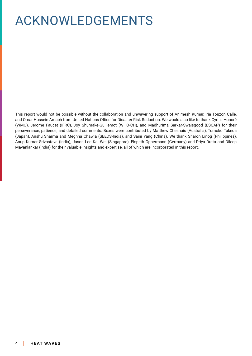# ACKNOWLEDGEMENTS

This report would not be possible without the collaboration and unwavering support of Animesh Kumar, Iria Touzon Calle, and Omar Hussein Amach from United Nations Office for Disaster Risk Reduction. We would also like to thank Cyrille Honoré (WMO), Jerome Faucet (IFRC), Joy Shumake-Guillemot (WHO-CH), and Madhurima Sarkar-Swaisgood (ESCAP) for their perseverance, patience, and detailed comments. Boxes were contributed by Matthew Chesnais (Australia), Tomoko Takeda (Japan), Anshu Sharma and Meghna Chawla (SEEDS-India), and Saini Yang (China). We thank Sharon Linog (Philippines), Anup Kumar Srivastava (India), Jason Lee Kai Wei (Singapore), Elspeth Oppermann (Germany) and Priya Dutta and Dileep Mavanlankar (India) for their valuable insights and expertise, all of which are incorporated in this report.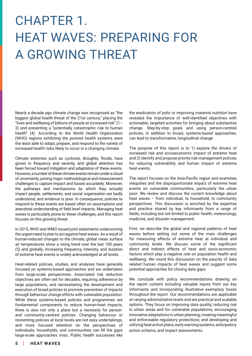# CHAPTER 1. HEAT WAVES: PREPARING FOR A GROWING THREAT

Nearly a decade ago climate change was recognised as "the biggest global health threat of the 21st century," placing the "lives and wellbeing of billions of people at increased risk" (1– 3) and presenting a "potentially catastrophic risk to human health" (4). According to the World Health Organization (WHO) regions exhibiting the poorest health systems were the least able to adapt, prepare, and respond to the variety of increased health risks likely to occur in a changing climate.

Climate extremes such as cyclones, droughts, foods, have grown in frequency and severity, and global attention has been forced toward mitigation and adaptation of these events. However, a number of these climate events remain under a cloud of uncertainty, posing major methodological and measurement challenges to capture impact and losses accurately. Moreover, the pathways and mechanisms by which they actually impact people, settlements, and social organisation are badly understood, and evidence is poor. In consequence, policies to respond to these events are based often on assumptions and anecdotal understanding of feld level impacts. Managing heat waves is particularly prone to these challenges, and this report focuses on this growing threat.

In 2015, WHO and WMO issued joint statements underscoring the urgent need to plan to act against heat waves. As a result of human-induced changes to the climate, global mean surface air temperatures show a rising trend over the last 100 years (5) and globally, increasing frequency, intensity, and duration of extreme heat events is widely acknowledged at all levels.

Heat-related policies, studies, and analyses have generally focused on systems-based approaches and are undertaken from large-scale perspectives. Associated risk reduction objectives are often set for decades, requiring adherence by large populations, and necessitating the development and execution of broad policies to promote prevention of impacts through behaviour change efforts with vulnerable population. While these systems-based policies and programmes are fundamental components to reduce human-heat impacts, there is also not only a place but a necessity for personand community-centred policies. Changing behaviour or reorienting policies at local levels are not easy undertakings, and more focused attention on the perspectives of individuals, households, and communities can fll the gaps large-scale approaches miss. Public health successes like the eradication of polio or improving maternal nutrition have revealed the importance of well-identifed objectives with actionable, targeted activities for bringing about substantive change. Step-by-step goals and using person-centred policies, in addition to broad, systems-based approaches, can lead to transformative, longitudinal change.

The purpose of this report is to 1) explore the drivers of increased risk and socioeconomic impact of extreme heat and 2) identify and propose priority risk management policies for reducing vulnerability and human impact of extreme heat events.

The report focuses on the Asia-Pacifc region and examines inequities and the disproportionate impact of extreme heat events on vulnerable communities, particularly the urban poor. We review and discuss the current knowledge about heat waves – from individual, to household, to community perspectives. This discussion is enriched by the expertise and practice shared by key informants from a range of felds, including but not limited to public health, meteorology, medicine, and disaster management.

First, we describe the global and regional patterns of heat waves before setting out some of the main challenges for measuring effects of extreme heat at individual and community levels. We discuss some of the signifcant direct and indirect effects of heat and socio-economic factors which play a negative role on population health and wellbeing. We round this discussion on the paucity of data related human impacts of heat waves and suggest some potential approaches for closing data gaps.

We conclude with policy recommendations drawing on the report content including valuable inputs from our key informants and incorporating illustrative exemplary boxes throughout the report. Our recommendations are applicable at varying administrative levels and are practical and scalable options. They focus on improving data quality; reducing risk in urban areas and for vulnerable populations; encouraging innovative adaptations in urban planning; creating meaningful and enforceable regulatory protections; and developing and utilizing heat action plans, early warning systems, anticipatory action schema, and impact assessments.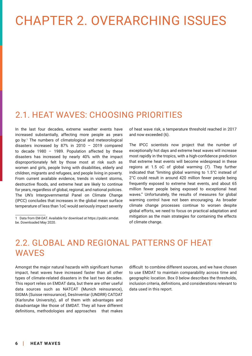### CHAPTER 2. OVERARCHING ISSUES

### 2.1. HEAT WAVES: CHOOSING PRIORITIES

In the last four decades, extreme weather events have increased substantially, affecting more people as years go by.1 The numbers of climatological and meteorological disasters increased by 87% in 2010 – 2019 compared to decade 1980 – 1989. Population affected by these disasters has increased by nearly 40% with the impact disproportionately felt by those most at risk such as women and girls, people living with disabilities, elderly and children, migrants and refugees, and people living in poverty. From current available evidence, trends in violent storms, destructive foods, and extreme heat are likely to continue for years, regardless of global, regional, and national policies. The UN's Intergovernmental Panel on Climate Change (IPCC) concludes that increases in the global mean surface temperature of less than 1oC would seriously impact severity

of heat wave risk, a temperature threshold reached in 2017 and now exceeded (6).

The IPCC scientists now project that the number of exceptionally hot days and extreme heat waves will increase most rapidly in the tropics, with a high-confdence prediction that extreme heat events will become widespread in these regions at 1.5 oC of global warming (7). They further indicated that "limiting global warming to 1.5°C instead of 2°C could result in around 420 million fewer people being frequently exposed to extreme heat events, and about 65 million fewer people being exposed to exceptional heat waves." Unfortunately, the results of measures for global warming control have not been encouraging. As broader climate change processes continue to worsen despite global efforts, we need to focus on practical adaptation and mitigation as the main strategies for containing the effects of climate change.

### 2.2. GLOBAL AND REGIONAL PATTERNS OF HEAT WAVES

Amongst the major natural hazards with signifcant human impact, heat waves have increased faster than all other types of climate-related disasters in the last two decades. This report relies on EMDAT data, but there are other useful data sources such as NATCAT (Munich reinsurance), SIGMA (Suisse reinsurance), DesInventar (UNDRR) CATDAT (Karlsruhe University), all of them with advantages and disadvantage like those of EMDAT. They all have different defnitions, methodologies and approaches that makes

difficult to combine different sources, and we have chosen to use EMDAT to maintain comparability across time and geographic location. Box 0 below describes the thresholds, inclusion criteria, defnitions, and considerations relevant to data used in this report.

<sup>1</sup> Data from EM-DAT. Available for download at https://public.emdat. be. Downloaded May 2020.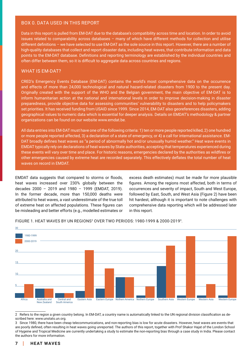#### BOX 0. DATA USED IN THIS REPORT

Data in this report is pulled from EM-DAT due to the database's compatibility across time and location. In order to avoid issues related to comparability across databases – many of which have different methods for collection and utilise different defnitions – we have selected to use EM-DAT as the sole source in this report. However, there are a number of high-quality databases that collect and report disaster data, including heat waves, that contribute information and data points to the EM-DAT database. Defnitions and reporting terminology are established by the individual countries and often differ between them, so it is difcult to aggregate data across countries and regions.

#### WHAT IS EM-DAT?

CRED's Emergency Events Database (EM-DAT) contains the world's most comprehensive data on the occurrence and effects of more than 24,000 technological and natural hazard-related disasters from 1900 to the present day. Originally created with the support of the WHO and the Belgian government, the main objective of EM-DAT is to inform humanitarian action at the national and international levels in order to improve decision-making in disaster preparedness, provide objective data for assessing communities' vulnerability to disasters and to help policymakers set priorities. It has received funding from USAID since 1999. Since 2014, EM-DAT also georeferences disasters, adding geographical values to numeric data which is essential for deeper analysis. Details on EMDAT's methodology & partner organizations can be found on our website www.emdat.be.

All data entries into EM-DAT must have one of the following criteria: 1) ten or more people reported killed, 2) one hundred or more people reported affected, 3) a declaration of a state of emergency, or 4) a call for international assistance. EM-DAT broadly defnes heat waves as "a period of abnormally hot and/or unusually humid weather." Heat wave events in EMDAT typically rely on declarations of heat waves by State authorities, accepting that temperatures experienced during these events will vary over time and place. For historic reasons, emergencies declared by the authorities as wildfres or other emergencies caused by extreme heat are recorded separately. This effectively defates the total number of heat waves on record in EMDAT.

EMDAT data suggests that compared to storms or foods, heat waves increased over 230% globally between the decades 2000 – 2019 and 1980 – 1999 (EMDAT, 2019). In the former decade, more than 150,000 deaths were attributed to heat waves, a vast underestimate of the true toll of extreme heat on affected populations. These fgures can be misleading and better efforts (e.g., modelled estimates or excess death estimates) must be made for more plausible figures. Among the regions most affected, both in terms of occurrences and severity of impact, South and West Europe, followed by East, South, and West Asia (Figure 2) have been hit hardest, although it is important to note challenges with comprehensive data reporting which will be addressed later in this report.



FIGURE 1. HEAT WAVES BY UN REGIONS2 OVER TWO PERIODS: 1980-1999 & 2000-2019<sup>3</sup>.

<sup>2</sup> Refers to the region a given country belong. In EM-DAT, a country name is automatically linked to the UN regional division classifcation as described here: www.unstats.un.org.

<sup>3</sup> Since 1980, there have been cheap telecommunications, and non-reporting bias is low for acute disasters. However, heat waves are events that are poorly defned, often resulting in heat waves going unreported. The authors of this report, together with Prof Shakor Hajat of the London School of Hygeine and Tropical Medicine are currently undertaking a study to estimate the non-reporting bias through a case study in India. Please contact the authors for more information.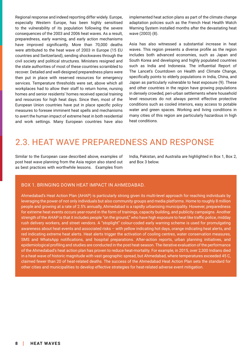Regional response and indeed reporting differ widely. Europe, especially Western Europe, has been highly sensitised to the vulnerability of its population following the severe consequences of the 2003 and 2006 heat waves. As a result, preparedness, early warning, and early action mechanisms have improved signifcantly. More than 70,000 deaths were attributed to the heat wave of 2003 in Europe (15 EU countries and Switzerland), sending shockwaves through the civil society and political structures. Ministers resigned and the state authorities of most of these countries scrambled to recover. Detailed and well-designed preparedness plans were then put in place with reserved resources for emergency services. Temperature thresholds were set, above which all workplaces had to allow their staff to return home, nursing homes and senior residents' homes received special training and resources for high heat days. Since then, most of the European Union countries have put in place specifc policy measures to foresee imminent heat spells and mechanisms to avert the human impact of extreme heat in both residential and work settings. Many European countries have also implemented heat action plans as part of the climate change adaptation policies such as the French Heat Health Watch Warning System installed months after the devastating heat wave (2003) (8).

Asia has also witnessed a substantial increase in heat waves. This region presents a diverse profle as the region includes both advanced economies, such as Japan and South Korea and developing and highly populated countries such as India and Indonesia. The infuential Report of The Lancet's Countdown on Health and Climate Change, specifcally points to elderly populations in India, China, and Japan as particularly vulnerable to heat exposure (9). These and other countries in the region have growing populations in densely crowded, peri-urban settlements where household level resources do not always permit effective protective conditions such as cooled interiors, easy access to potable water and green spaces. Working and living conditions in many cities of this region are particularly hazardous in high heat conditions.

### 2.3. HEAT WAVE PREPAREDNESS AND RESPONSE

Similar to the European case described above, examples of post heat wave planning from the Asia region also stand out as best practices with worthwhile lessons. Examples from India, Pakistan, and Australia are highlighted in Box 1, Box 2, and Box 3 below.

#### BOX 1. BRINGING DOWN HEAT IMPACT IN AHMEDABAD.

Ahmedabad's Heat Action Plan (AHAP) is particularly strong given its multi-level approach for reaching individuals by leveraging the power of not only individuals but also community groups and media platforms. Home to roughly 8 million people and growing at a rate of 2.5% annually, Ahmedabad is a rapidly urbanising municipality. However, preparedness for extreme heat events occurs year-round in the form of trainings, capacity building, and publicity campaigns. Another strength of the AHAP is that it includes people "on the ground," who have high exposure to heat like traffic police, midday rush delivery workers, and street vendors. A "stoplight" colour-coded early warning scheme is used for promulgating awareness about heat events and associated risks – with yellow indicating hot days, orange indicating heat alerts, and red indicating extreme heat alerts. Heat alerts trigger the activation of cooling centres, water conservation measures, SMS and WhatsApp notifcations, and hospital preparations. After-action reports, urban planning initiatives, and epidemiological profling and studies are conducted in the post heat-season. The iterative evaluation of the performance of the Ahmedabad's heat action plan has proven to reduce heat-mortality. For example, in 2015, over 2,300 Indians died in a heat wave of historic magnitude with vast geographic spread, but Ahmedabad, where temperatures exceeded 45 C, claimed fewer than 20 of heat-related deaths. The success of the Ahmedabad Heat Action Plan sets the standard for other cities and municipalities to develop effective strategies for heat-related adverse event mitigation.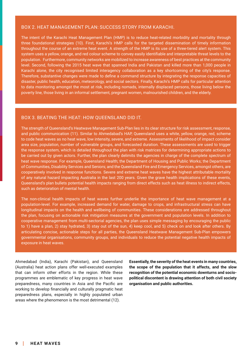#### BOX 2. HEAT MANAGEMENT PLAN: SUCCESS STORY FROM KARACHI.

The intent of the Karachi Heat Management Plan (HMP) is to reduce heat-related morbidity and mortality through three foundational strategies (10). First, Karachi's HMP calls for the targeted dissemination of timely information throughout the course of an extreme heat event. A strength of the HMP is its use of a three-tiered alert system. This system uses a yellow, orange, and red colour scheme to convey easily identifable and interpretable threat levels to the population. Furthermore, community networks are mobilized to increase awareness of best practices at the community level. Second, following the 2015 heat wave that spanned India and Pakistan and killed more than 1,000 people in Karachi alone, the city recognised limited interagency collaboration as a key shortcoming of the city's response. Therefore, substantive changes were made to defne a command structure by integrating the response capacities of disaster, public health, education, meteorology, and social sectors. Finally, Karachi's HMP calls for particular attention to data monitoring amongst the most at risk, including nomads, internally displaced persons, those living below the poverty line, those living in an informal settlement, pregnant women, malnourished children, and the elderly.

#### BOX 3. BEATING THE HEAT: HOW QUEENSLAND DID IT.

The strength of Queensland's Heatwave Management Sub-Plan lies in its clear structure for risk assessment, response, and public communication (11). Similar to Ahmedabad's HAP, Queensland uses a white, yellow, orange, red, scheme to code heat waves as no heat wave, low intensity, severe, and extreme. Assessments of likelihood of impact consider area size, population, number of vulnerable groups, and forecasted duration. These assessments are used to trigger the response system, which is detailed throughout the plan with risk matrices for determining appropriate actions to be carried out by given actors. Further, the plan clearly delimits the agencies in charge of the complete spectrum of heat wave response. For example, Queensland Health; the Department of Housing and Public Works; the Department of Communities, Disability Services and Seniors; and the Queensland Fire and Emergency Services, amongst others, are cooperatively involved in response functions. Severe and extreme heat waves have the highest attributable mortality of any natural hazard impacting Australia in the last 200 years. Given the grave health implications of these events, Queensland's plan bullets potential health impacts ranging from direct effects such as heat illness to indirect effects, such as deterioration of mental health.

The non-clinical health impacts of heat waves further underlie the importance of heat wave management at a population-level. For example, increased demand for water, damage to crops, and infrastructural stress can have longitudinal impacts on the health and wellbeing of communities. These considerations are addressed throughout the plan, focusing on actionable risk mitigation measures at the government and population levels. In addition to cooperative management from multi-sectorial agencies, the plan uses simple messaging by encouraging the public to 1) have a plan, 2) stay hydrated, 3) stay out of the sun, 4) keep cool, and 5) check on and look after others. By articulating concise, actionable steps for all parties, the Queensland Heatwave Management Sub-Plan empowers governmental organisations, community groups, and individuals to reduce the potential negative health impacts of exposure in heat waves.

Ahmedabad (India), Karachi (Pakistan), and Queensland (Australia) heat action plans offer well-executed examples that can inform other efforts in the region. While these programmes are emblematic of key progress in heat wave preparedness, many countries in Asia and the Pacific are working to develop fnancially and culturally pragmatic heat preparedness plans, especially in highly populated urban areas where the phenomenon is the most detrimental (12).

**Essentially, the severity of the heat events in many countries, the scope of the population that it affects, and the slow recognition of the potential economic downturns and sociopolitical discontent is drawing attention of both civil society organisation and public authorities.**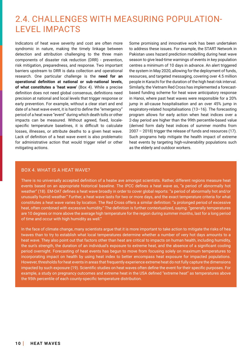### 2.4. CHALLENGES WITH MEASURING POPULATION-LEVEL IMPACTS

Indicators of heat wave severity and cost are often more syndromic in nature, making the timely linkage between detection and attribution challenging to the three main components of disaster risk reduction (DRR) - prevention, risk mitigation, preparedness, and response. Two important barriers upstream to DRR is data collection and operational research. One particular challenge is the **need for an operational defnition at national or sub-national levels, of what constitutes a 'heat wave'** (Box 4). While a precise defnition does not need global consensus, defnitions need precision at national and local levels that trigger response or early prevention. For example, without a clear start and end date of a heat wave event, it is hard to defne the "emergency" period of a heat wave "event" during which death tolls or other impacts can be measured. Without agreed, fxed, localespecific temperature baselines, it is difficult to calculate losses, illnesses, or attribute deaths to a given heat wave. Lack of defnition of a heat wave event is also problematic for administrative action that would trigger relief or other mitigating actions.

Some promising and innovative work has been undertaken to address these issues. For example, the START Network in Pakistan uses hazard prediction modelling during heat wave season to give lead-time warnings of events in key population centres a minimum of 10 days in advance. An alert triggered the system in May 2020, allowing for the deployment of funds, resources, and targeted messaging, covering over 4.5 million people in Karachi for the duration of the high heat risk interval. Similarly, the Vietnam Red Cross has implemented a forecastbased funding scheme for heat wave anticipatory response in Hanoi, where past heat waves were responsible for a 20% jump in all-cause hospitalisation and an over 45% jump in respiratory-related hospitalisations (13–16). The forecasting program allows for early action when heat indices over a 2-day period are higher than the 99th percentile-based value (derived form daily heat indices of summer months from 2007 – 2018) trigger the release of funds and resources (17). Such programs help mitigate the health impact of extreme heat events by targeting high-vulnerability populations such as the elderly and outdoor workers.

#### BOX 4. WHAT IS A HEAT WAVE?

There is no universally accepted defnition of a heatw ave amongst scientists. Rather, different regions measure heat events based on an appropriate historical baseline. The IPCC defnes a heat wave as, "a period of abnormally hot weather" (18). EM-DAT defnes a heat wave broadly in order to cover global reports: "a period of abnormally hot and/or unusually humid weather." Further, a heat wave lasts for two or more days, and the exact temperature criteria for what constitutes a heat wave varies by location. The Red Cross offers a similar defnition: "a prolonged period of excessive heat, often combined with excessive humidity." The defnition is further contextualized, saying: "generally temperatures are 10 degrees or more above the average high temperature for the region during summer months, last for a long period of time and occur with high humidity as well."

In the face of climate change, many scientists argue that it is more important to take action to mitigate the risks of hea twaves than to try to establish what local temperatures determine whether a number of very hot days amounts to a heat wave. They also point out that factors other than heat are critical to impacts on human health, including humidity, the sun's strength, the duration of an individual's exposure to extreme heat, and the absence of a signifcant cooling period overnight. Forecasting of heat events has begun to move from focusing solely on maximum temperatures to incorporating impact on health by using heat index to better encompass heat exposure for impacted populations. However, thresholds for heat events in areas that frequently experience extreme heat do not fully capture the dimensions impacted by such exposure (19). Scientific studies on heat waves often define the event for their specific purposes. For example, a study on pregnancy outcomes and extreme heat in the USA defned "extreme heat" as temperatures above the 95th percentile of each county-specifc temperature distribution.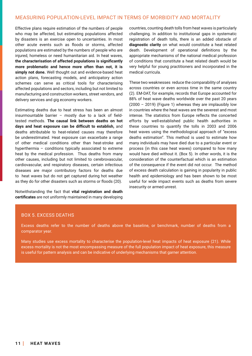#### MEASURING POPULATION-LEVEL IMPACT IN TERMS OF MORBIDITY AND MORTALITY

Effective plans require estimation of the numbers of people who may be affected, but estimating populations affected by disasters is an exercise open to uncertainties. In most other acute events such as floods or storms, affected populations are estimated by the numbers of people who are injured, homeless or need humanitarian aid. In heat waves, **the characterisation of affected populations is signifcantly more problematic and hence more often than not, it is simply not done.** Well thought out and evidence-based heat action plans, forecasting models, and anticipatory action schemes can serve as critical tools for characterising affected populations and sectors, including but not limited to manufacturing and construction workers, street vendors, and delivery services and gig economy workers.

Estimating deaths due to heat stress has been an almost insurmountable barrier – mostly due to a lack of feldtested methods. **The causal link between deaths on hot**  days and heat exposure can be difficult to establish, and deaths attributable to heat-related causes may therefore be underestimated. Heat exposure can exacerbate a range of other medical conditions other than heat-stroke and hyperthermia – conditions typically associated to extreme heat by the medical profession. Thus deaths from many other causes, including but not limited to cerebrovascular, cardiovascular, and respiratory diseases, certain infectious diseases are major contributory factors for deaths due to heat waves but do not get captured during hot weather as they do for other disasters such as storms or floods (20).

Notwithstanding the fact that **vital registration and death certifcates** are not uniformly maintained in many developing countries, counting death tolls from heat waves is particularly challenging. In addition to institutional gaps in systematic registration of death tolls, there is an added obstacle of **diagnostic clarity**  on what would constitute a heat related death. Development of operational defnitions by the appropriate mechanisms of the national medical profession of conditions that constitute a heat related death would be very helpful for young practitioners and incorporated in the medical curricula.

These two weaknesses reduce the comparability of analyses across countries or even across time in the same country (2). EM-DAT, for example, records that Europe accounted for 88% of heat wave deaths worldwide over the past 20 years (2000 – 2019) (Figure 1) whereas they are implausibly low in countries where the heat waves are the severest and most intense. The statistics from Europe refects the concerted efforts by well-established public health authorities in these countries to quantify the tolls in 2003 and 2006 heat waves using the methodological approach of "excess deaths estimation". This method is used to estimate how many individuals may have died due to a particular event or process (in this case heat waves) compared to how many would have died without it. (Box 5). In other words, it is the consideration of the counterfactual which is an estimation of the consequence if the event did not occur. The method of excess death calculation is gaining in popularity in public health and epidemiology and has been shown to be most useful for wide impact events such as deaths from severe insecurity or armed unrest.

#### BOX 5. EXCESS DEATHS

Excess deaths refer to the number of deaths above the baseline, or benchmark, number of deaths from a comparator year.

Many studies use excess mortality to characterise the population-level heat impacts of heat exposure (21). While excess mortality is not the most encompassing measure of the full population impact of heat exposure, this measure is useful for pattern analysis and can be indicative of underlying mechanisms that garner attention.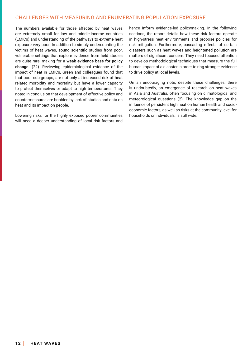#### CHALLENGES WITH MEASURING AND ENUMERATING POPULATION EXPOSURE

The numbers available for those affected by heat waves are extremely small for low and middle-income countries (LMICs) and understanding of the pathways to extreme heat exposure very poor. In addition to simply undercounting the victims of heat waves, sound scientifc studies from poor, vulnerable settings that explore evidence from feld studies are quite rare, making for a **weak evidence base for policy change.** (22). Reviewing epidemiological evidence of the impact of heat in LMICs, Green and colleagues found that that poor sub-groups, are not only at increased risk of heat related morbidity and mortality but have a lower capacity to protect themselves or adapt to high temperatures. They noted in conclusion that development of effective policy and countermeasures are hobbled by lack of studies and data on heat and its impact on people.

Lowering risks for the highly exposed poorer communities will need a deeper understanding of local risk factors and hence inform evidence-led policymaking. In the following sections, the report details how these risk factors operate in high-stress heat environments and propose policies for risk mitigation. Furthermore, cascading effects of certain disasters such as heat waves and heightened pollution are matters of signifcant concern. They need focused attention to develop methodological techniques that measure the full human impact of a disaster in order to ring stronger evidence to drive policy at local levels.

On an encouraging note, despite these challenges, there is undoubtedly, an emergence of research on heat waves in Asia and Australia, often focusing on climatological and meteorological questions (2). The knowledge gap on the infuence of persistent high heat on human health and socioeconomic factors, as well as risks at the community level for households or individuals, is still wide.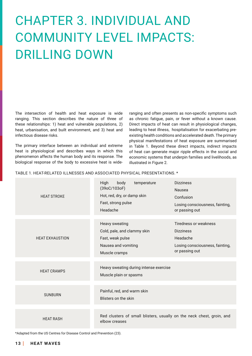# CHAPTER 3. INDIVIDUAL AND COMMUNITY LEVEL IMPACTS: DRILLING DOWN

The intersection of health and heat exposure is wide ranging. This section describes the nature of three of these relationships: 1) heat and vulnerable populations, 2) heat, urbanisation, and built environment, and 3) heat and infectious disease risks.

The primary interface between an individual and extreme heat is physiological and describes ways in which this phenomenon affects the human body and its response. The biological response of the body to excessive heat is wideranging and often presents as non-specifc symptoms such as chronic fatigue, pain, or fever without a known cause. Direct impacts of heat can result in physiological changes, leading to heat illness, hospitalisation for exacerbating preexisting health conditions and accelerated death. The primary physical manifestations of heat exposure are summarised in Table 1. Beyond these direct impacts, indirect impacts of heat can generate major ripple effects in the social and economic systems that underpin families and livelihoods, as illustrated in Figure 2.

#### TABLE 1. HEAT-RELATED ILLNESSES AND ASSOCIATED PHYSICAL PRESENTATIONS. \*

| <b>HEAT STROKE</b>     | body<br>High<br>temperature<br>(39oC/103oF)<br>Hot, red, dry, or damp skin<br>Fast, strong pulse<br>Headache | <b>Dizziness</b><br><b>Nausea</b><br>Confusion<br>Losing consciousness, fainting,<br>or passing out        |
|------------------------|--------------------------------------------------------------------------------------------------------------|------------------------------------------------------------------------------------------------------------|
| <b>HEAT EXHAUSTION</b> | Heavy sweating<br>Cold, pale, and clammy skin<br>Fast, weak pulse<br>Nausea and vomiting<br>Muscle cramps    | Tiredness or weakness<br><b>Dizziness</b><br>Headache<br>Losing consciousness, fainting,<br>or passing out |
| <b>HEAT CRAMPS</b>     | Heavy sweating during intense exercise<br>Muscle plain or spasms                                             |                                                                                                            |
| <b>SUNBURN</b>         | Painful, red, and warm skin<br>Blisters on the skin                                                          |                                                                                                            |
| <b>HEAT RASH</b>       | Red clusters of small blisters, usually on the neck chest, groin, and<br>elbow creases                       |                                                                                                            |

\*Adapted from the US Centres for Disease Control and Prevention (23).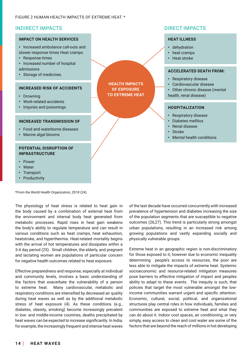#### INDIRECT IMPACTS AND INTERNATIONAL CONTROL IMPACTS

#### **IMPACT ON HEALTH SERVICES**

- Increased ambulance call-outs and
- slower response times Heat cramps
- Response times
- Increased number of hospital admissions
- Storage of medicines

#### **INCREASED RISK OF ACCIDENTS**

- Drowning
- Work-related accidents
- **•** Imjuries and poisonings **HOSPITALIZATION**

#### **INCREASED TRANSMISSION OF**

- Food and waterborne diseases
- Marine algal blooms

#### **POTENTIAL DISRUPTION OF INFRASTRUCTURE**

- Power
- Water
- **Transport**
- **Productivity**

\*From the World Health Organization, 2018 (24).

The physiology of heat stress is related to heat gain in the body caused by a combination of external heat from the environment and internal body heat generated from metabolic processes. Rapid rises in heat gain weakens the body's ability to regulate temperature and can result in various conditions such as heat cramps, heat exhaustion, heatstroke, and hyperthermia. Heat-related mortality begins with the arrival of hot temperatures and dissipates within a 3-4 day period (25). Small children, the elderly, and pregnant and lactating women are populations of particular concern for negative health outcomes related to heat exposure.

Effective preparedness and response, especially at individual and community levels, involves a basic understanding of the factors that exacerbate the vulnerability of a person to extreme heat. Many cardiovascular, metabolic and respiratory conditions are intensifed by decreased air quality during heat waves as well as by the additional metabolic stress of heat exposure (4). As these conditions (e.g., diabetes, obesity, smoking) become increasingly prevalent in low- and middle-income countries, deaths precipitated by heat waves can be expected to increase signifcantly. In India, for example, the increasingly frequent and intense heat waves

**HEALTH IMPACTS OF EXPOSURE TO EXTREME HEAT**

#### **HEAT ILLNESS**

- dehydration
- heat cramps
- Heat stroke

#### **ACCELERATED DEATH FROM:**

- Respiratory disease
- Cardiovascular disease

Other chronic disease (mental health, renal disease)

- Respiratory disease
- Diabetes mellitus
- Renal disease
- **Stroke**
- Mental health conditions

of the last decade have occurred concurrently with increased prevalence of hypertension and diabetes increasing the size of the population segments that are susceptible to negative outcomes (26,27). This trend is particularly strong amongst urban populations, resulting in an increased risk among growing populations and vastly expanding socially and physically vulnerable groups.

Extreme heat in an geographic region is non-discriminatory for those exposed to it, however due to economic inequality determining people's access to resources, the poor are less able to mitigate the impacts of extreme heat. Systemic socioeconomic and resource-related mitigation measures pose barriers to effective mitigation of impact and peoples ability to adapt to these events. The inequity is such, that policies that target the most vulnerable amongst the lowincome communities warrant urgent and specifc attention. Economic, cultural, social, political, and organizational structures play central roles in how individuals, families and communities are exposed to extreme heat and what they can do about it. Indoor cool spaces, air conditioning, or very simply, easy access to clean and cool water are some of the factors that are beyond the reach of millions in hot developing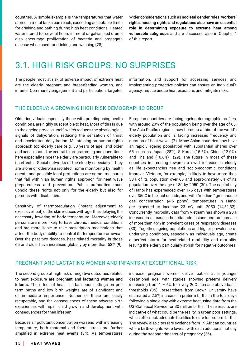countries. A simple example is the temperatures that water stored in metal tanks can reach, exceeding acceptable limits for drinking and bathing during high heat conditions. Heated water stored for several hours in metal or galvanised drums also encourage proliferation of bacteria and propagate disease when used for drinking and washing (28).

Wider considerations such as **societal gender roles, workers' rights, housing rights and regulations also have an essential role in determining exposure to extreme heat among vulnerable subgroups** and are discussed also in Chapter 4 of this report.

### 3.1. HIGH RISK GROUPS: NO SURPRISES

The people most at risk of adverse impact of extreme heat are the elderly, pregnant and breastfeeding women, and infants. Community engagement and participation, targeted information, and support for accessing services and implementing protective policies can ensure an individual's agency, reduce undue heat exposure, and mitigate risks.

#### THE ELDERLY: A GROWING HIGH RISK DEMOGRAPHIC GROUP

Older individuals especially those with pre-disposing health conditions, are highly susceptible to heat. Most of this is due to the ageing process itself, which reduces the physiological signals of dehydration, reducing the sensation of thirst and accelerates dehydration. Maintaining an human-rights approach top elderly care (e.g. 50 years of age and older and needs should be central to programming and operations here especially since the elderly are particularly vulnerable to its effects. Social networks of the elderly especially if they are alone or otherwise isolated, home monitoring by health agents and possibly legal protections are some measures that fall within an human rights approach for heat wave preparedness and prevention. Public authorities must uphold these rights not only for the elderly but also for persons with disabilities.

Sensitivity of thermoregulation (instant adjustment to excessive heat) of the skin reduces with age, thus delaying the necessary lowering of body temperature. Moreover, elderly persons are more likely to have chronic medical conditions and are more liable to take prescription medications that affect the body's ability to control its temperature or sweat. Over the past two decades, heat related mortality in those 65 and older have increased globally by more than 53% (9). European countries are facing ageing demographic profles, with around 20% of the population being over the age of 65. The Asia-Pacifc region is now home to a third of the world's elderly population and is facing increased frequency and duration of heat waves (7). Many Asian countries now have an rapidly ageing population with substantial shares over 65, such as Japan (28%), S Korea (15.6%), China (12.0%), and Thailand (10.6%) (29). The future in most of these countries is trending towards a swift increase in elderly as life expectancies rise and socio-economic conditions improve. Vietnam, for example, is likely to have more than 30% of its population over 65 and approximately 6% of its population over the age of 80 by 2050 (30). The capital city of Hanoi has experienced over 175 days with temperatures over 35oC in the last decade, and, with "medium" greenhouse gas concentration (4.5 ppmv), temperatures in Hanoi are expected to increase 23 oC until 2050 (14,31,32). Concurrently, morbidity data from Vietnam has shown a 20% increase in all causes hospital admissions and an increase of more than 45% in prevalent cases of respiratory diseases (33). Together, ageing populations and higher prevalence of underlying conditions, especially as individuals age, create a perfect storm for heat-related morbidity and mortality, leaving the elderly particularly at-risk for negative outcomes.

#### PREGNANT AND LACTATING WOMEN AND INFANTS AT EXCEPTIONAL RISK

The second group at high risk of negative outcomes related to heat exposure are **pregnant and lactating women and infants.** The effect of heat in urban poor settings on preterm births and low birth weights are of signifcant and of immediate importance. Neither of these are easily recuperable, and the consequences of these adverse birth experiences will impair child growth and development with consequences for their lifespan.

Because air pollutant concentration worsens with increasing temperature, both maternal and foetal stress are further amplifed in extreme heat events (34). As temperatures increase, pregnant women deliver babies at a younger gestational age, with studies showing preterm delivery increasing from  $1 - 6\%$  for every 2oC increase above basal thresholds (35). Researchers from Brown University have estimated a 2.5% increase in preterm births in the four days following a single day with extreme heat using data from the US Statistical Service for 30 million births. These results are indicative of what could be the reality in urban poor settings, which often lack adequate facilities to care for preterm births. The review also cites rare evidence from 19 African countries where birthweights were lowest with each additional hot day during the second trimester of pregnancy (36).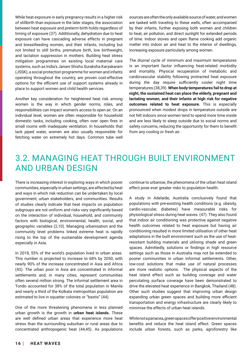While heat exposure in early pregnancy results in a higher risk of stillbirth than exposure in the later stages, the association between heat exposure and preterm birth holds regardless of timing of exposure (37). Additionally, dehydration due to heat exposure can have cascading adverse effects in pregnant and breastfeeding women, and their infants, including but not limited to still births, premature birth, low birthweight, and lactation suppression in mothers. Building heat stress mitigation programmes on existing local maternal care systems, such as India's Janani Shishu Suraksha Karyakaram (JSSK), a social protection programme for women and infants operating throughout the country, are proven cost-effective options for the efficient use of support systems already in place to support women and child health services.

Another key consideration for heightened heat risk among women is the way in which gender norms, roles, and responsibilities can impact women's access to open air. On an individual level, women are often responsible for household domestic tasks, including cooking, often over open fres in small rooms with inadequate ventilation. In households that lack piped water, women are also usually responsible for fetching water on extremely hot days. Common tube well sources are often the only available source of water, and women are tasked with traveling to these wells, often accompanied by their infants, further exposing both women and children to heat, air pollution, and direct sunlight for extended periods of time. Indoor stoves and open fame cooking add organic matter into indoor air and heat to the interior of dwellings, increasing exposure particularly among women.

The diurnal cycle of minimum and maximum temperatures is an important factor infuencing heat-related morbidity and mortality. Physical recuperation of metabolic and cardiovascular stability following protracted heat exposure during the day require sufficiently cooler night time temperatures (38,39). **When body temperatures fail to drop at night, the sustained heat can place the elderly, pregnant and lactating women, and their infants at high risk for negative outcomes related to heat exposure.** This is especially pronounced when modest drops in temperature outside are not felt indoors since women tend to spend more time inside and are less likely to sleep outside due to social norms and safety concerns, reducing the opportunity for them to beneft from any cooling or fresh air.

### 3.2. MANAGING HEAT THROUGH BUILT ENVIRONMENT AND URBAN DESIGN

There is increasing interest in exploring ways in which poorer communities, especially in urban settings, are affected by heat and ways in which risk reduction can be undertaken by local government, urban stakeholders, and communities. Results of studies clearly indicate that heat impacts on population subgroups are not uniform and risks vary signifcantly based on the interaction of individual, household, and community factors with biological, environmental, health, social, and geographic variables (2,10). Managing urbanisation and the community level problems linked extreme heat is rapidly rising to the top of the sustainable development agenda especially in Asia.

In 2018, 55% of the world's population lived in urban areas. This number is projected to increase to 68% by 2050, with nearly 90% of the increase concentrated in Asia and Africa (43). The urban poor in Asia are concentrated in informal settlements and, in many cities, represent communities often several million strong. The informal settlement area in Tondo accounted for 38% of the total population in Manila and nearly a third of the Kolkata metropolitan population are estimated to live in squatter colonies or "bastis" (44).

One of the more threatening phenomena in less planned urban growth is the growth in **urban heat islands.** These are well defned urban areas that experience more heat stress than the surrounding suburban or rural areas due to concentrated anthropogenic heat (44,45). As populations continue to urbanise, the phenomena of the urban heat island effect pose ever greater risks to population health.

A study in Adelaide, Australia conclusively found that populations with pre-existing health conditions (e.g. obesity, cardio-vascular, diabetes) have measurable risks for physiological stress during heat waves. (47). They also found that indoor air conditioning was protective against negative health outcomes related to heat exposure but having air conditioning resulted in more limited utilisation of other heat adaptations in the built environment such as the use of heatresistant building materials and utilising shade and green spaces. Admittedly, solutions or fndings in high resource settings such as those in Australia may not be extended to poorer communities in urban informal settlements. Other, low-cost solutions that make use of natural processes are more realistic options. The physical aspects of the heat island effect such as building coverage and water percolating surface coverage have been demonstrated to drive the elevated heat experience in Bangkok, Thailand (48). Other such studies suggest that improving urban design expanding urban green spaces and building more efficient transportation and energy infrastructure are clearly likely to minimise the effects of urban heat islands.

While not a panacea, green spaces offer positive environmental benefts and reduce the heat island effect. Green spaces include urban forests, such as parks, agroforestry like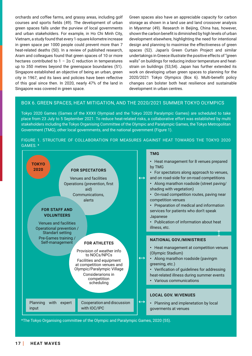orchards and coffee farms, and grassy areas, including golf courses and sports felds (49). The development of urban green spaces falls under the purview of local governments and urban stakeholders. For example, in Ho Chi Minh City, Vietnam, a study found that every 1-square kilometre increase in green space per 1000 people could prevent more than 7 heat-related deaths (50). In a review of published research, Aram and colleagues found that green spaces of 10 or more hectares contributed to  $1 - 20$  C reduction in temperatures up to 350 metres beyond the greenspace boundaries (51). Singapore established an objective of being an urban, green city in 1967, and its laws and policies have been refective of this goal since then. In 2020, nearly 47% of the land in Singapore was covered in green space.

Green spaces also have an appreciable capacity for carbon storage as shown in a land use and land crossover analysis in Myanmar (49). Research in Beijing, China has, however, shown the carbon beneft is diminished by high levels of urban development elsewhere, highlighting the need for intentional design and planning to maximise the effectiveness of green spaces (52). Japan's Green Curtain Project and similar undertakings in Greece illustrate the positive effects of "green walls" on buildings for reducing indoor temperature and heatstrain on buildings (53,54). Japan has further extended its work on developing urban green spaces to planning for the 2020/2021 Tokyo Olympics (Box 6). Multi-beneft policy changes can bolster both heat resilience and sustainable development in urban centres.

#### BOX 6. GREEN SPACES, HEAT MITIGATION, AND THE 2020/2021 SUMMER TOKYO OLYMPICS

Tokyo 2020 Games (Games of the XXXII Olympiad and the Tokyo 2020 Paralympic Games) are scheduled to take place from 23 July to 5 September 2021. To reduce heat-related risks, a collaborative effort was established by multi stakeholders including the Tokyo Organising Committee of the Olympic and Paralympic Games, the Tokyo Metropolitan Government (TMG), other local governments, and the national government (Figure 1).

#### FIGURE 1. STRUCTURE OF COLLABORATION FOR MEASURES AGAINST HEAT TOWARDS THE TOKYO 2020 GAMES. \*



\*The Tokyo Organising committee of the Olympic and Paralympic Games, 2020 (55).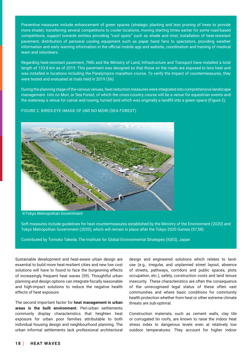Preventive measures include enhancement of green spaces (strategic planting and less pruning of trees to provide more shade), transferring several competitions to cooler locations, moving starting times earlier for some road-based competitions, support towards entities providing "cool spots" such as shade and mist, installation of heat-resistant pavement, distribution of personal cooling equipment such as paper hand fans to spectators, providing weather information and early warning information in the official mobile app and website, coordination and training of medical team and volunteers.

Regarding heat-resistant pavement, TMG and the Ministry of Land, Infrastructure and Transport have installed a total length of 133.8 km as of 2019. This pavement was designed so that those on the roads are exposed to less heat and was installed in locations including the Paralympics marathon course. To verify the impact of countermeasures, they were tested and evaluated at trials held in 2019 (56).

During the planning stage of the various venues, heat reduction measures were integrated into comprehensive landscape management. Umi no Mori, or Sea Forest, of which the cross-country course will be a venue for equestrian events and the waterway a venue for canoe and rowing, turned land which was originally a landfll into a green space (Figure 2).

FIGURE 2. BIRDS-EYE IMAGE OF UMI NO MORI (SEA FOREST)



©Tokyo Metropolitan Government

Soft measures include guidelines for heat countermeasures established by the Ministry of the Environment (2020) and Tokyo Metropolitan Government (2020), which will remain in place after the Tokyo 2020 Games (57,58).

Contributed by Tomoko Takeda, The Institute for Global Environmental Strategies (IGES), Japan

Sustainable development and heat-aware urban design are essential to build more heat-resilient cities and new low cost solutions will have to found to face the burgeoning effects of increasingly frequent heat waves (59). Thoughtful urban planning and design options can integrate fscally reasonable and high-impact solutions to reduce the negative health effects of heat exposure.

The second important factor for **heat management in urban areas is the built environment.** Peri-urban settlements commonly display characteristics that heighten heat exposure for urban poor families attributable to both individual housing design and neighbourhood planning. The urban informal settlements lack professional architectural

design and engineered solutions which relates to landuse (e.g., irregular, and unplanned street layout, absence of streets, pathways, corridors and public spaces, plots occupation, etc.), safety, construction costs and land tenure insecurity. These characteristics are often the consequence of the unrecognised legal status of these often vast communities and where basic conditions for community health protection whether from heat or other extreme climate threats are sub-optimal.

Construction materials, such as cement walls, clay tile or corrugated tin roofs, are known to raise the indoor heat stress index to dangerous levels even at relatively low outdoor temperatures. They account for higher indoor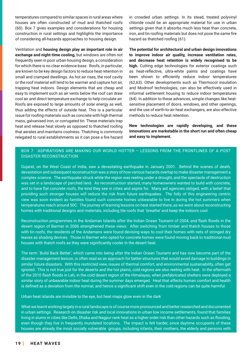temperatures compared to similar spaces in rural areas where houses are often constructed of mud and thatched roofs (60). Box 7 gives examples and considerations for housing construction in rural settings and highlights the importance of considering all-hazards approaches to housing design.

Ventilation and **housing design play an important role in air exchange and night-time cooling,** but windows are often not frequently seen in poor urban housing design, a consideration for which there is no clear evidence-base. Roofs, in particular, are known to be key design factors to reduce heat retention in small and cramped dwellings. As hot air rises, the roof cavity or the roof material will tend to be warmer and capture hot air, trapping heat indoors. Design elements that are cheap and easy to implement such as air vents below the roof can draw cool air and direct temperature exchange to help circulate air. Roofs are exposed to large amounts of solar energy as well, thus adding the effects of outside heat. This is a particular issue for roofng materials such as concrete with high thermal mass, galvanised iron, or corrugated tin. These materials trap heat and release heat slowly as opposed to thatched roofng that aerates and maintains coolness. Thatching is commonly relegated to rural establishments as it can pose a fre hazard in crowded urban settings. In its stead, treated polyvinyl chloride could be an appropriate material for use in urban settings given that it absorbs much less heat than concrete, iron, and tin roofng materials but does not pose the same fre hazard as thatched roofng (61).

**The potential for architectural and urban design innovations to improve indoor air quality, increase ventilation rates, and decrease heat retention is widely recognised to be high.** Cutting edge technologies for exterior coatings such as heat-refective, ultra-white paints and coatings have been shown to efficiently reduce indoor temperatures (62,63). Other developments such as Thermocol insulation and Modroof technologies, can also be effectively used in informal settlement housing to reduce indoor temperatures (64). In addition to these advances, simple changes like heatsensitive placement of doors, windows, and other openings, and the use of earth-to-air heat exchangers, are also effective methods to reduce heat retention.

**New technologies are rapidly developing, and these innovations are marketable in the short run and often cheap and easy to implement.** 

#### BOX 7. ASPIRATIONS ARE MAKING OUR WORLD HOTTER – LESSONS FROM THE FRONTLINES OF A POST DISASTER RECONSTRUCTION

Gujarat, on the West Coast of India, saw a devastating earthquake in January 2001. Behind the scenes of death, devastation and subsequent reconstruction was a story of how various hazards overlap to make disaster management a complex science. The earthquake struck while the region was reeling under a drought, and the spectacle of destruction was set in a landscape of parched land. As reconstruction started, many homeowners wanted to build with concrete, and to have fat concrete roofs, the kind they see in cities and aspire for. Many aid agencies obliged, with a belief that providing such stronger houses will reduce the risk from future earthquakes. The folly of this engineering centric view was soon evident as families found such concrete homes unbearable to live in during the hot summers when temperatures reach around 50C. The journey of learning lessons on heat started there, as we went about reconstructing homes with traditional designs and materials, including tile roofs that `breathe' and keep the indoors cool.

Reconstruction programmes in the Andaman Islands after the Indian Ocean Tsunami of 2004, and fash foods in the desert region of Barmer in 2006 strengthened these views. After switching from timber and thatch houses to those with tin roofs, the residents of the Andamans were found devising ways to cool their homes with nets of stringed dry leaves as shading devices. Those in Barmer who opted for concrete homes were found moving back to traditional mud houses with thatch roofs as they were signifcantly cooler in the desert heat.

The term `Build Back Better', which came into being after the Indian Ocean Tsunami and has now become part of the disaster management lexicon, is often read as an approach for better structures that would avoid damage to buildings in similar future disasters. With this restricted view, issues of thermal comfort, and environmental sustainability, often get ignored. This is not true just for the deserts and the hot plains, cold regions are also reeling with heat. In the aftermath of the 2010 fash foods in Leh, in the cold desert region of the Himalayas, when prefabricated shelters were deployed a similar story of unbearable indoor heat during the summer days emerged. Heat that affects human comfort and health is defned as a deviation from the normal, and hence a signifcant shift even in the cold regions can be quite harmful.

Urban heat islands are invisible to the eye, but heat maps glow even in the dark

What we learnt working largely in a rural landscape is of course more pronounced and better researched and documented in urban settings. Research on disaster risk and local innovations in urban low income settlements, found that families living in slums in cities like Delhi, Dhaka and Nagpur rank heat as a higher order risk than other hazards such as fooding, even though they live in frequently inundated locations. The impact is felt harder, since daytime occupants of these houses are already the most socially vulnerable groups, including infants, their mothers, the elderly and persons with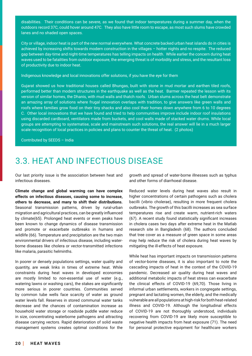disabilities. Their conditions can be severe, as we found that indoor temperatures during a summer day, when the outdoors record 37C, could hover around 47C. They also have little room to escape, as most such slums have crowded lanes and no shaded open spaces.

City or village, indoor heat is part of the new normal everywhere. What concrete backed urban heat islands do in cities is achieved by increasing shifts towards modern construction in the villages – hotter nights and no respite. The reduced gap between day-time and night-time temperatures has telling impacts on health. While earlier the concern during heat waves used to be fatalities from outdoor exposure, the emerging threat is of morbidity and stress, and the resultant loss of productivity due to indoor heat.

Indigenous knowledge and local innovations offer solutions, if you have the eye for them

Gujarat showed us how traditional houses called Bhungas, built with stone in mud mortar and earthen tiled roofs, performed better than modern structures in the earthquake as well as the heat. Barmer repeated the lesson with its version of similar homes, the Dhanis, with mud walls and thatch roofs. Urban slums across the heat belt demonstrate an amazing array of solutions where frugal innovation overlaps with tradition, to give answers like green walls and roofs where families grow food on their tiny shacks and also cool their homes down anywhere from 6 to 10 degrees C. Other local innovations that we have found and tried to help communities improve include indoor roof insulations using discarded cardboard, ventilators made from buckets, and cool walls made of stacked water drums. While local groups are attempting to systematise, scale and mainstream such solutions, the real answer will lie in a much larger scale recognition of local practices in policies and plans to counter the threat of heat. (2 photos)

Contributed by SEEDS – India

### 3.3. HEAT AND INFECTIOUS DISEASE

Our last priority issue is the association between heat and infectious diseases.

**Climate change and global warming can have complex effects on infectious diseases, causing some to increase, others to decrease, and many to shift their distributions.**  Seasonal transmission patterns, driven by rural-urban migration and agricultural practices, can be greatly infuenced by climate(65). Prolonged heat events or even peaks have been known to change dynamics of disease transmission and promote or exacerbate outbreaks in humans and wildlife (66). Temperature and precipitation are the two main environmental drivers of infectious disease, including waterborne diseases like cholera or vector-transmitted infections like malaria, parasitic helminths.

In poorer or densely populations settings, water quality and quantity, are weak links in times of extreme heat. While constraints during heat waves in developed economies are mostly limited to non-essential use of water (e.g., watering lawns or washing cars), the stakes are signifcantly more serious in poorer countries. Communities served by common tube wells face scarcity of water as ground water levels fall. Reserves in stored communal water tanks decrease and the chances of contamination increase as household water storage or roadside puddle water reduce in size, concentrating waterborne pathogens and attracting disease carrying vectors. Rapid deterioration of solid waste management systems creates optimal conditions for the growth and spread of water-borne illnesses such as typhus and other forms of diarrhoeal disease.

Reduced water levels during heat waves also result in higher concentrations of certain pathogens such as cholera bacilli (vibrio cholerae), resulting in more frequent cholera outbreaks. The growth of this bacilli increases as sea surface temperatures rise and create warm, nutrient-rich waters (67). A recent study found statistically signifcant increases in cholera cases two days after extreme heat in the Matlab research site in Bangladesh (68). The authors concluded that tree cover as a measure of green space in some areas may help reduce the risk of cholera during heat waves by mitigating the ill-effects of heat exposure.

While heat has important impacts on transmission patterns of vector-borne diseases, it is also important to note the cascading impacts of heat in the context of the COVID-19 pandemic. Decreased air quality during heat waves and additional metabolic impacts of heat stress can exacerbate the clinical effects of COVID-19 (69,70). Those living in informal urban settlements, workers in congregate settings, pregnant and lactating women, the elderly, and the medically vulnerable are all populations at high-risk for both heat-related illness and COVID-19. Although the longitudinal effects of COVID-19 are not thoroughly understood, individuals recovering from COVID-19 are likely more susceptible to negative health impacts from heat exposure (71). The need for personal protective equipment for healthcare workers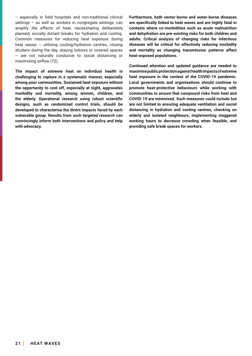– especially in feld hospitals and non-traditional clinical settings – as well as workers in congregate settings, can amplify the effects of heat, necessitating deliberately planned, socially distant breaks for hydration and cooling. Common measures for reducing heat exposure during heat waves – utilising cooling/hydration centres, closing shutters during the day, staying indoors or covered spaces – are not naturally conducive to social distancing or maximising airfow (72).

**The impact of extreme heat on individual health is challenging to capture in a systematic manner, especially among poor communities. Sustained heat exposure without the opportunity to cool off, especially at night, aggravates morbidity and mortality, among women, children, and the elderly. Operational research using robust scientifc designs, such as randomized control trials, should be developed to characterise the direct impacts faced by each vulnerable group. Results from such targeted research can convincingly inform both interventions and policy and help**  with advocacy.

**Furthermore, both vector-borne and water-borne diseases are specifcally linked to heat waves and are highly fatal in contexts where co-morbidities such as acute malnutrition and dehydration are pre-existing risks for both children and adults. Critical analysis of changing risks for infectious diseases will be critical for effectively reducing morbidity and mortality as changing transmission patterns affect heat-exposed populations.** 

**Continued attention and updated guidance are needed to maximise public protection against health impacts of extreme heat exposure in the context of the COVID-19 pandemic. Local governments and organisations should continue to promote heat-protective behaviours while working with communities to ensure that compound risks from heat and COVID-19 are minimised. Such measures could include but are not limited to ensuring adequate ventilation and social distancing in hydration and cooling centres, checking on elderly and isolated neighbours, implementing staggered working hours to decrease crowding when feasible, and providing safe break spaces for workers.**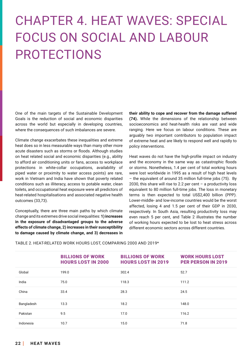# CHAPTER 4. HEAT WAVES: SPECIAL FOCUS ON SOCIAL AND LABOUR PROTECTIONS

One of the main targets of the Sustainable Development Goals is the reduction of social and economic disparities across the world but especially in developing countries, where the consequences of such imbalances are severe.

Climate change exacerbates these inequalities and extreme heat does so in less measurable ways than many other more acute disasters such as storms or floods. Although studies on heat related social and economic disparities (e.g., ability to afford air conditioning units or fans, access to workplace protections in white-collar occupations, availability of piped water or proximity to water access points) are rare, work in Vietnam and India have shown that poverty related conditions such as illiteracy, access to potable water, clean toilets, and occupational heat exposure were all predictors of heat-related hospitalisations and associated negative health outcomes (33,73).

Conceptually, there are three main paths by which climate change and its extremes drive social inequalities: **1) increases in the exposure of disadvantaged groups to the adverse effects of climate change, 2) increases in their susceptibility to damage caused by climate change, and 3) decreases in**  **their ability to cope and recover from the damage suffered (74).** While the dimensions of the relationship between socioeconomics and heat-health risks are vast and wide ranging. Here we focus on labour conditions. These are arguably two important contributors to population impact of extreme heat and are likely to respond well and rapidly to policy interventions.

Heat waves do not have the high-profle impact on industry and the economy in the same way as catastrophic floods or storms. Nonetheless, 1.4 per cent of total working hours were lost worldwide in 1995 as a result of high heat levels – the equivalent of around 35 million full-time jobs (75). By 2030, this share will rise to 2.2 per cent – a productivity loss equivalent to 80 million full-time jobs. The loss in monetary terms is then expected to total US\$2,400 billion (PPP). Lower-middle- and low-income countries would be the worst affected, losing 4 and 1.5 per cent of their GDP in 2030, respectively. In South Asia, resulting productivity loss may even reach 5 per cent, and Table 2 illustrates the number of working hours expected to be lost to heat stress across different economic sectors across different countries.

|            | <b>BILLIONS OF WORK</b><br><b>HOURS LOST IN 2000</b> | <b>BILLIONS OF WORK</b><br><b>HOURS LOST IN 2019</b> | <b>WORK HOURS LOST</b><br><b>PER PERSON IN 2019</b> |
|------------|------------------------------------------------------|------------------------------------------------------|-----------------------------------------------------|
| Global     | 199.0                                                | 302.4                                                | 52.7                                                |
| India      | 75.0                                                 | 118.3                                                | 111.2                                               |
| China      | 33.4                                                 | 28.3                                                 | 24.5                                                |
| Bangladesh | 13.3                                                 | 18.2                                                 | 148.0                                               |
| Pakistan   | 9.5                                                  | 17.0                                                 | 116.2                                               |
| Indonesia  | 10.7                                                 | 15.0                                                 | 71.8                                                |

TABLE 2. HEAT-RELATED WORK HOURS LOST, COMPARING 2000 AND 2019\*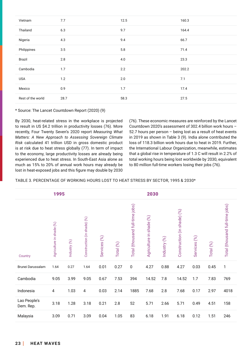| Vietnam           | 7.7  | 12.5 | 160.3 |
|-------------------|------|------|-------|
| Thailand          | 6.3  | 9.7  | 164.4 |
| Nigeria           | 4.3  | 9.4  | 66.7  |
| Philippines       | 3.5  | 5.8  | 71.4  |
| Brazil            | 2.8  | 4.0  | 23.3  |
| Cambodia          | 1.7  | 2.2  | 202.2 |
| <b>USA</b>        | 1.2  | 2.0  | 7.1   |
| Mexico            | 0.9  | 1.7  | 17.4  |
| Rest of the world | 28.7 | 58.3 | 27.5  |

\* Source: The Lancet Countdown Report (2020) (9)

By 2030, heat-related stress in the workplace is projected to result in US \$4.2 trillion in productivity losses (76). More recently, Four Twenty Seven's 2020 report *Measuring What Matters: A New Approach to Assessing Sovereign Climate Risk*  calculated 41 trillion USD in gross domestic product is at risk due to heat stress globally (77). In term of impact to the economy, large productivity losses are already being experienced due to heat stress. In South-East Asia alone as much as 15% to 20% of annual work hours may already be lost in heat-exposed jobs and this fgure may double by 2030 (76). These economic measures are reinforced by the Lancet Countdown 2020's assessment of 302.4 billion work hours – 52.7 hours per person – being lost as a result of heat events in 2019 as shown in Table 3 (9). India alone contributed the loss of 118.3 billion work hours due to heat in 2019. Further, the International Labour Organization, meanwhile, estimates that a global rise in temperature of 1.3 C will result in 2.2% of total working hours being lost worldwide by 2030, equivalent to 80 million full-time workers losing their jobs (76).

TABLE 3. PERCENTAGE OF WORKING HOURS LOST TO HEAT STRESS BY SECTOR, 1995 & 2030\*

|                           | 1995                     |              |                             |              |           |                                 |                          | 2030         |                             |              |           |                                 |  |
|---------------------------|--------------------------|--------------|-----------------------------|--------------|-----------|---------------------------------|--------------------------|--------------|-----------------------------|--------------|-----------|---------------------------------|--|
| Country                   | Agriculture in shade (%) | Industry (%) | Construction (in shade) (%) | Services (%) | Total (%) | Total (thousand full-time jobs) | Agriculture in shade (%) | Industry (%) | Construction (in shade) (%) | Services (%) | Total (%) | Total (thousand full-time jobs) |  |
| Brunei Darussalam         | 1.64                     | 0.27         | 1.64                        | 0.01         | 0.27      | $\boldsymbol{0}$                | 4.27                     | 0.88         | 4.27                        | 0.03         | 0.45      | 1                               |  |
| Cambodia                  | 9.05                     | 3.99         | 9.05                        | 0.67         | 7.53      | 394                             | 14.52                    | 7.8          | 14.52                       | 1.7          | 7.83      | 769                             |  |
| Indonesia                 | $\overline{4}$           | 1.03         | $\overline{4}$              | 0.03         | 2.14      | 1885                            | 7.68                     | 2.8          | 7.68                        | 0.17         | 2.97      | 4018                            |  |
| Lao People's<br>Dem. Rep. | 3.18                     | 1.28         | 3.18                        | 0.21         | 2.8       | 52                              | 5.71                     | 2.66         | 5.71                        | 0.49         | 4.51      | 158                             |  |
| Malaysia                  | 3.09                     | 0.71         | 3.09                        | 0.04         | 1.05      | 83                              | 6.18                     | 1.91         | 6.18                        | 0.12         | 1.51      | 246                             |  |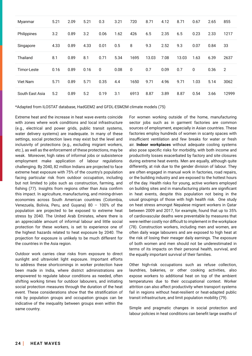| Myanmar         | 5.21 | 2.09 | 5.21 | 0.3          | 3.21 | 720          | 8.71  | 4.12 | 8.71  | 0.67         | 2.65 | 855            |
|-----------------|------|------|------|--------------|------|--------------|-------|------|-------|--------------|------|----------------|
| Philippines     | 3.2  | 0.89 | 3.2  | 0.06         | 1.62 | 426          | 6.5   | 2.35 | 6.5   | 0.23         | 2.33 | 1217           |
| Singapore       | 4.33 | 0.89 | 4.33 | 0.01         | 0.5  | 8            | 9.3   | 2.52 | 9.3   | 0.07         | 0.84 | 33             |
| Thailand        | 8.1  | 0.89 | 8.1  | 0.71         | 5.34 | 1695         | 13.03 | 7.08 | 13.03 | 1.63         | 6.39 | 2637           |
| Timor-Leste     | 0.16 | 0.89 | 0.16 | $\mathbf{0}$ | 0.08 | $\mathbf{0}$ | 0.7   | 0.09 | 0.7   | $\mathbf{0}$ | 0.36 | $\overline{2}$ |
| Viet Nam        | 5.71 | 0.89 | 5.71 | 0.35         | 4.4  | 1650         | 9.71  | 4.96 | 9.71  | 1.03         | 5.14 | 3062           |
| South East Asia | 5.2  | 0.89 | 5.2  | 0.19         | 3.1  | 6913         | 8.87  | 3.89 | 8.87  | 0.54         | 3.66 | 12999          |

\*Adapted from ILOSTAT database, HadGEM2 and GFDL-ESM2M climate models (75)

Extreme heat and the increase in heat wave events coincide with zones where work conditions and local infrastructure (e.g., electrical and power grids, public transit systems, water delivery systems) are inadequate. In many of these settings, social protection laws may exist but the level and inclusivity of protections (e.g., excluding migrant workers, etc.), as well as the enforcement of these protections, may be weak. Moreover, high rates of informal jobs or subsistence employment make application of labour regulations challenging. By 2040, 82 million Indians are projected to face extreme heat exposure with 75% of the country's population facing particular risk from outdoor occupation, including but not limited to jobs such as construction, farming, and fishing (77). Insights from regions other than Asia confirm this impact. In agriculture, manufacturing, and mining-driven economies across South American countries (Colombia, Venezuela, Bolivia, Peru, and Guyana) 80 – 100% of the population are projected to be exposed to extreme heat stress by 2040. The United Arab Emirates, where there is an appreciable amount of informal labour and little social protection for these workers, is set to experience one of the highest hazards related to heat exposure by 2040. The projection for exposure is unlikely to be much different for the countries in the Asia region.

Outdoor work carries clear risks from exposure to direct sunlight and ultraviolet light exposure. Important efforts to address these shortcomings in worker protection have been made in India, where district administrations are empowered to regulate labour conditions as needed, often shifting working times for outdoor labourers, and initiating social protection measures through the duration of the heat event. These considerations show that the stratifcation of risk by population groups and occupation groups can be indicative of the inequality between groups even within the same country.

For women working outside of the home, manufacturing sector jobs such as in garment factories are common sources of employment, especially in Asian countries. These factories employ hundreds of women in scanty spaces with insufficient ventilation and few breaks for water or fresh air. **Indoor workplaces**  without adequate cooling systems also pose specifc risks for morbidity, with both income and productivity losses exacerbated by factory and site closures during extreme heat events. Men are equally, although quite differently, at risk due to the gender division of labour. They are often engaged in manual work in factories, road repairs, or the building industry and are exposed to the hottest hours of the day. Health risks for young, active workers employed on building sites and in manufacturing plants are signifcant in heat events, despite this population not being in the usual groupings of those with high health risk. One study on heat stress amongst Nepalese migrant workers in Qatar between 2009 and 2017, for example, found that up to 35% of cardiovascular deaths were preventable by measures that were neither costly nor difficult to implement in the workplace (78). Construction workers, including men and women, are often daily wage labourers and are exposed to high heat at the risk of losing their meager daily earnings. The exposure of both women and men should not be underestimated in terms of its impacts on their personal health, survival, and the equally important survival of their families.

Other high-risk occupations such as refuse collection, laundries, bakeries, or other cooking activities, also expose workers to additional heat on top of the ambient temperatures due to their occupational context. Worker attrition can also affect productivity when transport systems fail in regions without heat-resilient or heat-adapted public transit infrastructure, and limit population mobility (79).

Simple and pragmatic changes in social protection and labour policies in heat conditions can beneft large swaths of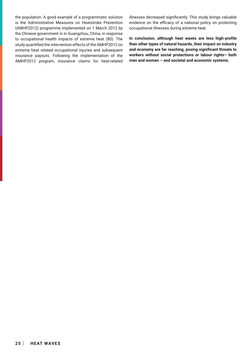the population. A good example of a programmatic solution is the Administrative Measures on Heatstroke Prevention (AMHP2012) programme implemented on 1 March 2012 by the Chinese government in in Guangzhou, China, in response to occupational health impacts of extreme heat (80). The study quantifed the intervention effects of the AMHP2012 on extreme heat related occupational injuries and subsequent insurance payouts. Following the implementation of the AMHP2012 program, insurance claims for heat-related illnesses decreased signifcantly. This study brings valuable evidence on the efficacy of a national policy on protecting occupational illnesses during extreme heat.

**In conclusion, although heat waves are less high-profle than other types of natural hazards, their impact on industry and economy are far reaching, posing signifcant threats to workers without social protections or labour rights– both men and women – and societal and economic systems.**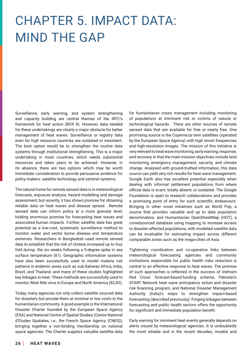# CHAPTER 5. IMPACT DATA: MIND THE GAP

Surveillance, early warning, and system strengthening and capacity building are central themes of the IRFC's framework for heat action (BOX 8). However, data needed for these undertakings are clearly a major obstacle for better management of heat waves. Surveillance or registry data even for high resource countries are outdated or inexistent. The best option would be to strengthen the routine data systems through institutional strengthening. This is a major undertaking in most countries, which needs substantial resources and takes years to be achieved. However, in its absence, there are two options which may be worth immediate consideration to provide persuasive evidence for policy makers: satellite technology and sentinel systems.

The natural home for remote sensed data is in meteorological forecasts, exposure analysis, hazard modelling and damage assessment, but recently, it has shown promise for obtaining reliable data on heat waves and disease spread. Remote sensed data can inform policy at a more granular level, holding enormous promise for forecasting heat waves and associated human impacts. Further, satellite data has great potential as a low-cost, systematic surveillance method to monitor water and vector borne disease and temperature extremes. Researchers in Bangladesh used remote sensed data to establish that the risk of cholera increased up to four fold during the six weeks following a 5-degree spike in sea surface temperature (81). Geographic information systems have also been successfully used to model malaria risk patterns in endemic areas such as sub-Saharan Africa, India, Brazil, and Thailand, and many of these studies highlighted key linkages to heat. These methods are successfully used to monitor West Nile virus in Europe and North America (82,83).

Today, many agencies not only collect satellite sourced data for disasters but provide them at nominal or low costs to the humanitarian community. A good example is the International Disaster Charter founded by the European Space Agency (ESA) and National Centre of Spatial Studies (Centre National d'Etudes Spatiales, i.e., the French Space Agency (CNES)), bringing together a non-binding membership on national space agencies. The Charter supplies valuable satellite data for humanitarian crises management including monitoring of populations at imminent risk or victims of natural or technological hazards. There are other sources of remote sensed data that are available for free or nearly free. One promising source is the Copernicus twin satellites (operated by the European Space Agency) with high revisit frequencies and high-resolution images. The mission of this initiative is very relevant to heat wave monitoring, early warning, response, and recovery in that the main mission objectives include land monitoring, emergency management, security, and climate change. Analysed with ground-truthed information, this data source can yield very rich results for heat wave management. Google Earth also has excellent potential especially when dealing with informal settlement populations from where official data is scant, totally absent, or outdated. The Google Foundation is open to research collaborations and provides a promising point of entry for such scientifc endeavours. Bringing in other novel initiatives such as World Pop, a source that provides valuable and up to date population denominators, and Humanitarian OpenStreetMap (HOT), a crowdsourced database using mapping to increase access to disaster-affected populations, with modelled satellite data can be invaluable for estimating impact across different comparable zones such as the mega-cities of Asia.

Tightening coordination and co-operative links between meteorological forecasting agencies and community institutions responsible for public health risks reduction is central to an effective response to heat waves. The promise of such approaches is refected in the success of Vietnam Red Cross' forecast-based-funding scheme, Pakistan's START Network heat wave anticipatory action and disaster risk fnancing program, and National Disaster Management Authority (India)'s steps to strengthen impact-based forecasting (described previously). Forging linkages between forecasting and public health sectors offers the opportunity for signifcant and immediate population beneft.

Early warning for imminent heat events generally depends on alerts issued by meteorological agencies. It is undoubtedly the most reliable and in the recent decades, models and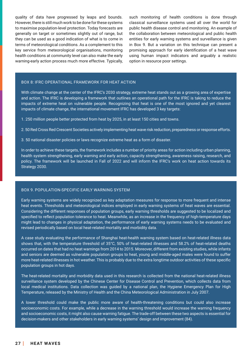quality of data have progressed by leaps and bounds. However, there is still much work to be done for these systems to maximise population-level protection. Today forecasts are generally on target or sometimes slightly out of range, but they can be used as a good indication of what is to come in terms of meteorological conditions. As a complement to this key service from meteorological organisations, monitoring health conditions at community level can also make the early warning-early action process much more effective. Typically, such monitoring of health conditions is done through classical surveillance systems used all over the world for public health disease control and monitoring. An example of the collaboration between meteorological and public health entities for early warning systems and surveillance is given in Box 9. But a variation on this technique can present a promising approach for early identifcation of a heat wave using human impact indicators and arguably a realistic option in resource poor settings.

#### BOX 8: IFRC OPERATIONAL FRAMEWORK FOR HEAT ACTION

With climate change at the center of the IFRC's 2030 strategy, extreme heat stands out as a growing area of expertise and action. The IFRC is developing a framework that outlines an operational path for the IFRC is taking to reduce the impacts of extreme heat on vulnerable people. Recognizing that heat is one of the most ignored and yet clearest impacts of climate change, the international movement IFRC has developed 3 key targets:

1. 250 million people better protected from heat by 2025, in at least 150 cities and towns.

2. 50 Red Cross Red Crescent Societies actively implementing heat wave risk reduction, preparedness or response efforts.

3. 50 national disaster policies or laws recognize extreme heat as a form of disaster.

In order to achieve these targets, the framework includes a number of priority areas for action including urban planning, health system strengthening, early warning and early action, capacity strengthening, awareness raising, research, and policy. The framework will be launched in Fall of 2022 and will inform the IFRC's work on heat action towards its Strategy 2030.

#### BOX 9. POPULATION-SPECIFIC EARLY WARNING SYSTEM

Early warning systems are widely recognized as key adaptation measures for response to more frequent and intense heat events. Thresholds and meteorological indices employed in early warning systems of heat waves are essential. Considering the different responses of population groups, early warning thresholds are suggested to be localized and specifed to refect population tolerance to heat. Meanwhile, as an increase in the frequency of high-temperature days might lead to changes in physical adaptation, the performance of early warning systems needs to be evaluated and revised periodically based on local heat-related mortality and morbidity data.

A case study evaluating the performance of Shanghai heat-health warning system based on heat-related illness data shows that, with the temperature threshold of 35°C, 50% of heat-related illnesses and 58.2% of heat-related deaths occurred on dates that had no heat warnings from 2014 to 2015. Moreover, different from existing studies, while infants and seniors are deemed as vulnerable population groups to heat, young and middle-aged males were found to suffer more heat-related illnesses in hot weather. This is probably due to the extra longtime outdoor activities of these specifc population groups in hot days.

The heat-related mortality and morbidity data used in this research is collected from the national heat-related illness surveillance system developed by the Chinese Center for Disease Control and Prevention, which collects data from local medical institutions. Data collection was guided by a national plan, the Hygiene Emergency Plan for High Temperature, released by the Ministry of Health and the China Meteorological Administration in July 2007.

A lower threshold could make the public more aware of health-threatening conditions but could also increase socioeconomic costs. For example, while a decrease in the warning threshold would increase the warning frequency and socioeconomic costs, it might also cause warning fatigue. The trade-off between these two aspects is essential for decision-makers and other stakeholders in early warning systems' design and improvement (84).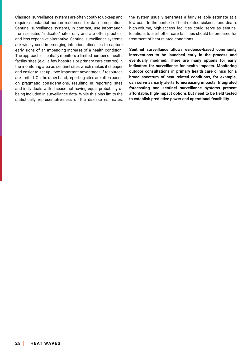Classical surveillance systems are often costly to upkeep and require substantial human resources for data compilation. Sentinel surveillance systems, in contrast, use information from selected "indicator" sites only and are often practical and less expensive alternative. Sentinel surveillance systems are widely used in emerging infectious diseases to capture early signs of an impending increase of a health condition. The approach essentially monitors a limited number of health facility sites (e.g., a few hospitals or primary care centres) in the monitoring area as sentinel sites which makes it cheaper and easier to set up - two important advantages if resources are limited. On the other hand, reporting sites are often based on pragmatic considerations, resulting in reporting sites and individuals with disease not having equal probability of being included in surveillance data. While this bias limits the statistically representativeness of the disease estimates, the system usually generates a fairly reliable estimate at a low cost. In the context of heat-related sickness and death, high-volume, high-access facilities could serve as sentinel locations to alert other care facilities should be prepared for treatment of heat related conditions.

**Sentinel surveillance allows evidence-based community interventions to be launched early in the process and eventually modifed. There are many options for early indicators for surveillance for health impacts. Monitoring outdoor consultations in primary health care clinics for a broad spectrum of heat related conditions, for example, can serve as early alerts to increasing impacts. Integrated forecasting and sentinel surveillance systems present affordable, high-impact options but need to be feld tested to establish predictive power and operational feasibility.**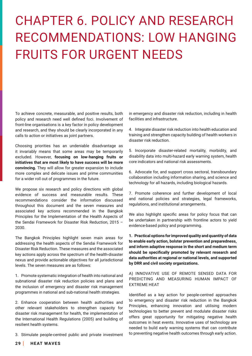# CHAPTER 6. POLICY AND RESEARCH RECOMMENDATIONS: LOW HANGING FRUITS FOR URGENT NEEDS

To achieve concrete, measurable, and positive results, both policy and research need well defned foci. Involvement of front-line organisations is a key factor in policy development and research, and they should be clearly incorporated in any calls to action or initiatives as joint partners.

Choosing priorities has an undeniable disadvantage as it invariably means that some areas may be temporarily excluded. However, **focusing on low-hanging fruits or initiatives that are most likely to have success will be more convincing.** They will allow for greater expansion to include more complex and delicate issues and prime communities for a wider roll out of programmes in the future.

We propose six research and policy directions with global evidence of success and measurable results. These recommendations consider the information discussed throughout this document and the seven measures and associated key actions recommended in the Bangkok Principles for the Implementation of the Health Aspects of the Sendai Framework for Disaster Risk Reduction, 2015 – 2030.

The Bangkok Principles highlight seven main areas for addressing the health aspects of the Sendai Framework for Disaster Risk Reduction. These measures and the associated key actions apply across the spectrum of the health-disaster nexus and provide actionable objectives for all jurisdictional levels. The seven measures are as follows:

1. Promote systematic integration of health into national and subnational disaster risk reduction policies and plans and the inclusion of emergency and disaster risk management programmes in national and sub-national health strategies.

2. Enhance cooperation between health authorities and other relevant stakeholders to strengthen capacity for disaster risk management for health, the implementation of the International Health Regulations (2005) and building of resilient health systems.

3. Stimulate people-centred public and private investment

in emergency and disaster risk reduction, including in health facilities and infrastructure.

4. Integrate disaster risk reduction into health education and training and strengthen capacity building of health workers in disaster risk reduction.

5. Incorporate disaster-related mortality, morbidity, and disability data into multi-hazard early warning system, health core indicators and national risk assessments.

6. Advocate for, and support cross sectoral, transboundary collaboration including information sharing, and science and technology for all hazards, including biological hazards.

7. Promote coherence and further development of local and national policies and strategies, legal frameworks, regulations, and institutional arrangements.

We also highlight specifc areas for policy focus that can be undertaken in partnership with frontline actors to yield evidence-based policy and programming.

**1. Practical options for improved quality and quantity of data to enable early action, bolster prevention and preparedness, and inform adaptive response in the short and medium term should be specifcally promoted by relevant research and data authorities at regional or national levels, and supported by DRR and civil society organizations.** 

А) INNOVATIVE USE OF REMOTE SENSED DATA FOR PREDICTING AND MEASURING HUMAN IMPACT OF EXTREME HEAT

Identifed as a key action for people-centred approaches to emergency and disaster risk reduction in the Bangkok Principles, enhancing innovation and utilising modern technologies to better prevent and modulate disaster risks offers great opportunity for mitigating negative health outcomes in heat events. Innovative uses of technology are needed to build early warning systems that can contribute to preventing negative health outcomes through early action.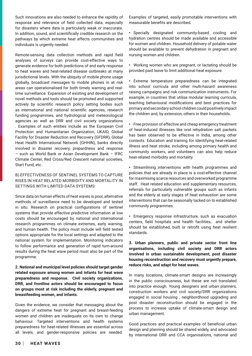Such innovations are also needed to enhance the rapidity of response and relevance of feld collected data, especially for disasters where data is particularly weak or inaccurate. In addition, sound, and scientifcally credible research on the pathways by which extreme heat affects communities and individuals is urgently needed.

Remote-sensing data collection methods and rapid feld analyses of surveys can provide cost-effective ways to generate evidence for both predictions of and early response to heat waves and heat-related disease outbreaks at many jurisdictional levels. With the ubiquity of mobile phone usage globally, broadcast messages to mobile phones in at risk areas can operationalised for both timely warning and realtime surveillance. Expansion of existing and development of novel methods and tools should be promoted and supported actively by scientifc research policy setting bodies such as international and national scientifc agencies, research funding programmes, and hydrological and meteorological agencies as well as DRR and civil society organizations . Examples of such entities include as the European Civil Protection and Humanitarian Organization, UKAID, Global Facility for Disaster Reduction and Recovery (GFDRR), Global Heat Health International Network (GHHIN), banks directly involved in disaster recovery, prepardness and response – such as World Bank or Asian Development Bank – IFRC Climate Center, Red Cross/Red Crescent national societies, Start Fund, etc..

B) EFFECTIVENESS OF SENTINEL SYSTEMS TO CAPTURE RISES IN HEAT RELATED MORBIDITY AND MORTALITY IN SETTINGS WITH LIMITED DATA SYSTEMS:

Since data on human effects of heat waves is poor, alternative methods of surveillance need to be developed and tested in situ. Research on practical confgurations of sentinel systems that provide effective predictive information at low costs should be encouraged by national and international research programmes on climate extremes, early warning, and human health. The policy must include will feld tested options appropriate for the local settings and adapted to the national system for implementation. Monitoring indicators to follow performance and generation of rapid turn-around results during the heat wave period must also be part of the programme.

**2. National and municipal level policies should target gender related exposure among women and infants for heat wave preparedness and response. Civil society organizations, DRR, and frontline actors should be encouraged to focus on groups most at risk including the elderly, pregnant and breastfeeding women, and infants.**

Given the evidence, we consider that messaging about the dangers of extreme heat for pregnant and breast-feeding women and children are inadequate on its own to change behaviour. Targeted interventions and health systems preparedness for heat-related illnesses are essential across all levels, and gender-responsive policies are needed.

Examples of targeted, easily promotable interventions with measurable benefts are described.

• Specially designated community-based cooling and hydration centres should be made available and accessible for women and children. Household delivery of potable water should be available to prevent dehydration in pregnant and nursing women and children.

• Working women who are pregnant, or lactating should be provided paid leave to limit additional heat exposure.

• Extreme temperature preparedness can be integrated into school curricula and other multi-hazard awareness raising campaigns and risk communication instruments. For example, in countries that utilise modular learning curricula, teaching behavioural modifcations and best practices for primary and secondary school children could positively impact the children and, by extension, others in their households.

• Free provision of effective and cheap emergency treatment of heat-induced illnesses like oral rehydration salt packets has been observed to be effective in India, among other contexts. Education and training for identifying heat-related illness and heat stroke, including among primary health and community workers, and volunteers can also help reduce heat-related morbidity and mortality.

• Streamlining interventions with health programmes and policies that are already in place is a cost-effective channel for maximising scarce resources and overworked programme staff. Heat related education and supplementary resources, referrals for particularly vulnerable groups such as infants and the elderly at early stages of heat exhaustion are some interventions that can be seasonally tacked on to established community programmes.

• Emergency response infrastructure, such as evacuation centers, feld hospitals and health facilities, and shelter should be established, built or retrofit using heat resilient standards.

**3. Urban planners, public and private sector front line organisations, including civil society and DRR actors involved in urban sustainable development, post disaster housing reconstruction and recovery must urgently prepare, reduce risks, and adapt for heat waves.**

In many locations, climate-smart designs are increasingly in the public consciousness, but these are not translated into practice enough. Young designers and urban planners, construction workers and civil society/DRR organizations engaged in social housing , neighbordhood upgrading and post disaster reconstruction should be engaged in the process to increase uptake of climate-smart design and urban management.

Good practices and practical examples of beneficial urban design and planning should be shared widely, and advocated by international DRR and CCA organisations, national and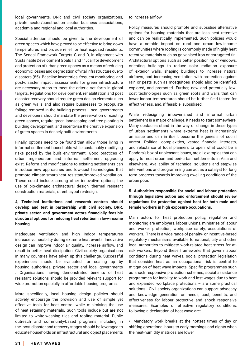local governments, DRR and civil society organizations, private sector/construction sector business associations, academia and regional and local authorities.

Special attention should be given to the development of green spaces which have proved to be effective to bring down temperatures and provide relief for heat exposed residents. The Sendai Framework Targets C and D, in alignment with Sustainable Development Goals 1 and 11, call for development and protection of urban green spaces as a means of reducing economic losses and degradation of vital infrastructure due to disasters (85). Baseline inventories, frequent monitoring, and post-disaster impact assessments for green infrastructure are necessary steps to meet the criteria set forth in global targets. Regulations for development, rehabilitation and post disaster recovery should require green design elements such as green walls and also require businesses to repopulate foliage removed in the building process. Local governments and developers should mandate the preservation of existing green spaces, require green landscaping and tree planting in building development, and incentivise the creative expansion of green spaces in densely built environments.

Finally, options need to be found that allow those living in informal settlement households while sustainably modifying risks posed by the built environment. Good practices of urban regeneration and informal settlement upgrading exist. Reform and modifcations to existing settlements can introduce new approaches and low-cost technologies that promote climate-smart/heat resistant/improved ventilation. These could include, among other innovative options, the use of bio-climatic architectural design, thermal resistant construction materials, street layout re-design.

#### **4, Technical institutions and research centres should develop and test in partnership with civil society, DRR, private sector, and government actors fnancially feasible structural options for reducing heat retention in low-income housing**

Inadequate ventilation and high indoor temperatures increase vulnerability during extreme heat events. Innovative design can improve indoor air quality, increase airfow, and result in better heat dissipation. Civil society organisations in many countries have taken up this challenge. Successful experiences should be evaluated for scaling up by housing authorities, private sector and local governments . Organisations having demonstrated benefts of heat resistant solutions should be provided relevant support for wide promotion specially in affordable housing programs.

More specifcally, local housing design policies should actively encourage the provision and use of simple yet effective tools for heat control while minimising the use of heat retaining materials. Such tools include but are not limited to white-washing tiles and roofng material. Public outreach and community-based programs, including in the post disaster and recovery stages should be leveraged to educate households on infrastructural and object placements

to increase airfow.

Policy measures should promote and subsidise alternative options for housing materials that are less heat retentive and can be realistically implemented. Such policies would have a notable impact on rural and urban low-income communities where roofng is commonly made of highly heat retentive materials such as galvanised iron or corrugated tin. Architectural options such as better positioning of windows, orienting buildings to reduce solar radiation exposure of exterior walls, shaping buildings to increase natural airfows, and increasing ventilation with protection against rain or pests such as mosquitoes should also be identifed, explored, and promoted. Further, new and potentially lowcost technologies such as green roofs and walls that can lower indoor temperatures should be further feld tested for effectiveness, and, if feasible, subsidised.

While redesigning impoverished and informal urban settlement is a major challenge, it needs to start somewhere. Many obstacles stand in the way of change in these types of urban settlements where extreme heat is increasingly an issue and can in itself, become the genesis of social unrest. Political complexities, vested fnancial interests, and reluctance of local planners to open what could be a Pandora's box of unpleasant issues, are all examples that can apply to most urban and peri-urban settlements in Asia and elsewhere. Availability of technical solutions and stepwise interventions and programming can act as a catalyst for long term progress towards improving dwelling conditions of the urban poor.

#### **5. Authorities responsible for social and labour protection through legislative action and enforcement should review regulations for protection against heat for both male and female workers in high exposure occupations.**

Main actors for heat protection policy, regulation and monitoring are employers, labour unions, ministries of labour and worker protection, workplace safety, associations of workers. There is a wide range of penalty- or incentive-based regulatory mechanisms available to national, city and other local authorities to mitigate work-related heat stress for atrisk workers. Beyond these frameworks that govern labour conditions during heat waves, social protection legislation that consider heat as an occupational risk is central to mitigation of heat wave impacts. Specifc programmes such as shock responsive protection schemes, social assistance programmes for inability to work and lost wages due to heat and expanded workplace protections – are some practical solutions. Civil society organizations can support advocacy and knowledge generation on needs, cost, benefts, and effectiveness for labour protective and shock responsive measures. Examples of effective regulatory conditions, following a declaration of heat wave are:

• Mandatory work breaks at the hottest times of day or shifting operational hours to early mornings and nights when the heat-humidity matrices are lower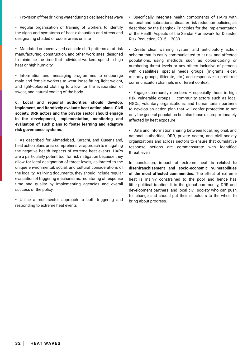• Provision of free drinking water during a declared heat wave

• Regular organisation of training of workers to identify the signs and symptoms of heat exhaustion and stress and designating shaded or cooler areas on site

• Mandated or incentivised cascade shift patterns at at-risk manufacturing, construction, and other work sites, designed to minimise the time that individual workers spend in high heat or high humidity

• Information and messaging programmes to encourage male and female workers to wear loose-ftting, light weight, and light-coloured clothing to allow for the evaporation of sweat, and natural cooling of the body

**6. Local and regional authorities should develop, implement, and iteratively evaluate heat action plans. Civil society, DRR actors and the private sector should engage in the development, implementation, monitoring and evaluation of such plans to foster learning and adaptive risk governance systems.**

• As described for Ahmedabad, Karachi, and Queensland, heat action plans are a comprehensive approach to mitigating the negative health impacts of extreme heat events. HAPs are a particularly potent tool for risk mitigation because they allow for local designation of threat levels, calibrated to the unique environmental, social, and cultural considerations of the locality. As living documents, they should include regular evaluation of triggering mechanisms, monitoring of response time and quality by implementing agencies and overall success of the policy.

• Utilise a multi-sector approach to both triggering and responding to extreme heat events

• Specifcally integrate health components of HAPs with national and subnational disaster risk reduction policies, as described by the Bangkok Principles for the Implementation of the Health Aspects of the Sendai Framework for Disaster Risk Reduction, 2015 – 2030.

• Create clear warning system and anticipatory action schema that is easily communicated to at risk and affected populations, using methods such as colour-coding or numbering threat levels or any others inclusive of persons with disabilities, special needs groups (migrants, elder, minority groups, illiterate, etc.) and responsive to preferred communicaiton channels in different context.

• Engage community members – especially those in high risk, vulnerable groups – community actors such as local NGOs, voluntary organizations, and humanitarian partners to develop an action plan that will confer protection to not only the general population but also those disproportionately affected by heat exposure

• Data and information sharing between local, regional, and national authorities, DRR, private sector, and civil society organizations and across sectors to ensure that cumulative response actions are commensurate with identifed threat levels

In conclusion, impact of extreme heat **is related to disenfranchisement and socio-economic vulnerabilities of the most affected communities.** The effect of extreme heat is mainly constrained to the poor and hence has little political traction. It is the global community, DRR and development partners, and local civil society who can push for change and should put their shoulders to the wheel to bring about progress.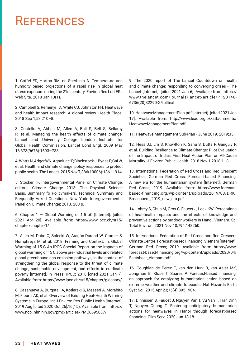### **REFERENCES**

1. Coffel ED, Horton RM, de Sherbinin A. Temperature and humidity based projections of a rapid rise in global heat stress exposure during the 21st century. Environ Res Lett ERL Web Site. 2018 Jan;13(1).

2. Campbell S, Remenyi TA, White CJ, Johnston FH. Heatwave and health impact research: A global review. Health Place. 2018 Sep 1;53:210–8.

3. Costello A, Abbas M, Allen A, Ball S, Bell S, Bellamy R, et al. Managing the health effects of climate change: Lancet and University College London Institute for Global Health Commission. Lancet Lond Engl. 2009 May 16;373(9676):1693–733.

4. Watts N, Adger WN, Agnolucci P, Blackstock J, Byass P, Cai W, et al. Health and climate change: policy responses to protect public health. The Lancet. 2015 Nov 7;386(10006):1861–914.

5. Stocker TF, Intergovernmental Panel on Climate Change, editors. Climate Change 2013: The Physical Science Basis, Summary fo Policymakers, Technical Summary and Frequently Asked Questions. New York: Intergovernmental Panel on Climate Change; 2013. 203 p.

6. Chapter  $1 -$  Global Warming of 1.5 oC [Internet]. [cited] 2021 Apr 20]. Available from: https://www.ipcc.ch/sr15/ chapter/chapter-1/

7. Allen M, Dube O, Solecki W, Aragón-Durand W, Cramer S, Humphreys M, et al. 2018: Framing and Context. In: Global Warming of 15 C An IPCC Special Report on the impacts of global warming of 15 C above pre-industrial levels and related global greenhouse gas emission pathways, in the context of strengthening the global response to the threat of climate change, sustainable development, and efforts to eradicate poverty [Internet]. In Press. IPCC; 2018 [cited 2021 Jan 7]. Available from: https://www.ipcc.ch/sr15/chapter/glossary/

8. Casanueva A, Burgstall A, Kotlarski S, Messeri A, Morabito M, Flouris AD, et al. Overview of Existing Heat-Health Warning Systems in Europe. Int J Environ Res Public Health [Internet]. 2019 Aug [cited 2020 Oct 26];16(15). Available from: https:// www.ncbi.nlm.nih.gov/pmc/articles/PMC6695887/

9. The 2020 report of The Lancet Countdown on health and climate change: responding to converging crises - The Lancet [Internet]. [cited 2021 Jan 6]. Available from: https:// www.thelancet.com/journals/lancet/article/PIIS0140- 6736(20)32290-X/fulltext

10. HeatwaveManagementPlan.pdf [Internet]. [cited 2021 Jan 17]. Available from: http://www.lead.org.pk/attachments/ HeatwaveManagementPlan.pdf

11. Heatwave Management Sub-Plan - June 2019. 2019;35.

12. Hess JJ, Lm S, Knowlton K, Saha S, Dutta P, Ganguly P, et al. Building Resilience to Climate Change: Pilot Evaluation of the Impact of India's First Heat Action Plan on All-Cause Mortality. J Environ Public Health. 2018 Nov 1;2018:1–8.

13. International Federation of Red Cross and Red Crescent Societies, German Red Cross. Forecast-based Financing: A new era for the humanitarian system [Internet]. German Red Cross; 2019. Available from: https://www.forecastbased-financing.org/wp-content/uploads/2019/03/DRK\_ Broschuere\_2019\_new\_era.pdf

14. Lohrey S, Chua M, Gros C, Faucet J, Lee JKW. Perceptions of heat-health impacts and the effects of knowledge and preventive actions by outdoor workers in Hanoi, Vietnam. Sci Total Environ. 2021 Nov 10;794:148260.

15. International Federation of Red Cross and Red Crescent Climate Centre. Forecast-based Financing: Vietnam [Internet]. German Red Cross; 2019. Available from: https://www. forecast-based-fnancing.org/wp-content/uploads/2020/04/ Factsheet\_Vietnam.pdf

16. Coughlan de Perez E, van den Hurk B, van Aalst MK, Jongman B, Klose T, Suarez P. Forecast-based fnancing: an approach for catalyzing humanitarian action based on extreme weather and climate forecasts. Nat Hazards Earth Syst Sci. 2015 Apr 23;15(4):895–904.

17. Dinnissen S, Faucet J, Nguyen Van T, Vu Van T, Tran Dinh T, Nguyen Quang T. Fostering anticipatory humanitarian actions for heatwaves in Hanoi through forecast-based fnancing. Clim Serv. 2020 Jun 18;18.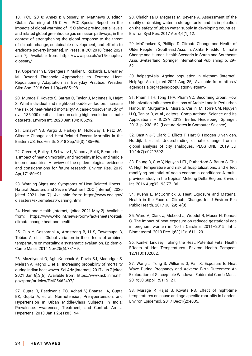18. IPCC. 2018: Annex I: Glossary. In: Matthews J, editor. Global Warming of 15 C An IPCC Special Report on the impacts of global warming of 15 C above pre-industrial levels and related global greenhouse gas emission pathways, in the context of strengthening the global response to the threat of climate change, sustainable development, and efforts to eradicate poverty [Internet]. In Press. IPCC; 2018 [cited 2021 Jan 7]. Available from: https://www.ipcc.ch/sr15/chapter/ glossary/

19. Oppermann E, Strengers Y, Maller C, Rickards L, Brearley M. Beyond Threshold Approaches to Extreme Heat: Repositioning Adaptation as Everyday Practice. Weather Clim Soc. 2018 Oct 1;10(4):885–98.

20. Murage P, Kovats S, Sarran C, Taylor J, McInnes R, Hajat S. What individual and neighbourhood-level factors increase the risk of heat-related mortality? A case-crossover study of over 185,000 deaths in London using high-resolution climate datasets. Environ Int. 2020 Jan;134:105292.

21. Limaye\* VS, Vargo J, Harkey M, Holloway T, Patz JA. Climate Change and Heat-Related Excess Mortality in the Eastern US. EcoHealth. 2018 Sep;15(3):485–96.

22. Green H, Bailey J, Schwarz L, Vanos J, Ebi K, Benmarhnia T. Impact of heat on mortality and morbidity in low and middle income countries: A review of the epidemiological evidence and considerations for future research. Environ Res. 2019 Apr;171:80–91.

23. Warning Signs and Symptoms of Heat-Related Illness | Natural Disasters and Severe Weather | CDC [Internet]. 2020 [cited 2021 Jan 7]. Available from: https://www.cdc.gov/ disasters/extremeheat/warning.html

24. Heat and Health [Internet]. [cited 2021 May 2]. Available from: https://www.who.int/news-room/fact-sheets/detail/ climate-change-heat-and-health

25. Guo Y, Gasparrini A, Armstrong B, Li S, Tawatsupa B, Tobias A, et al. Global variation in the effects of ambient temperature on mortality: a systematic evaluation. Epidemiol Camb Mass. 2014 Nov;25(6):781–9.

26. Mazdiyasni O, AghaKouchak A, Davis SJ, Madadgar S, Mehran A, Ragno E, et al. Increasing probability of mortality during Indian heat waves. Sci Adv [Internet]. 2017 Jun 7 [cited 2021 Jan 8];3(6). Available from: https://www.ncbi.nlm.nih. gov/pmc/articles/PMC5462497/

27. Gupta R, Deedwania PC, Achari V, Bhansali A, Gupta BK, Gupta A, et al. Normotension, Prehypertension, and Hypertension in Urban Middle-Class Subjects in India: Prevalence, Awareness, Treatment, and Control. Am J Hypertens. 2013 Jan 1;26(1):83–94.

28. Chalchisa D, Megersa M, Beyene A. Assessment of the quality of drinking water in storage tanks and its implication on the safety of urban water supply in developing countries. Environ Syst Res. 2017 Apr 4;6(1):12.

29. McCracken K, Phillips D. Climate Change and Health of Older People in Southeast Asia. In: Akhtar R, editor. Climate Change and Human Health Scenario in South and Southeast Asia. Switzerland: Springer International Publishing; p. 29– 52.

30. helpageAsia. Ageing population in Vietnam [Internet]. HelpAge Asia. [cited 2021 Aug 25]. Available from: https:// ageingasia.org/ageing-population-vietnam/

31. Pham TTH, Tong THA, Pham VC. Becoming Urban: How Urbanization Infuences the Loss of Arable Land in Peri-urban Hanoi. In: Murgante B, Misra S, Carlini M, Torre CM, Nguyen H-Q, Taniar D, et al., editors. Computational Science and Its Applications – ICCSA 2013. Berlin, Heidelberg: Springer; 2013. p. 238–52. (Lecture Notes in Computer Science).

32. Bastin J-F, Clark E, Elliott T, Hart S, Hoogen J van den, Hordijk I, et al. Understanding climate change from a global analysis of city analogues. PLOS ONE. 2019 Jul 10;14(7):e0217592.

33. Phung D, Guo Y, Nguyen HTL, Rutherford S, Baum S, Chu C. High temperature and risk of hospitalizations, and effect modifying potential of socio-economic conditions: A multiprovince study in the tropical Mekong Delta Region. Environ Int. 2016 Aug;92–93:77–86.

34. Kuehn L, McCormick S. Heat Exposure and Maternal Health in the Face of Climate Change. Int J Environ Res Public Health. 2017 Jul 29;14(8).

35. Ward A, Clark J, McLeod J, Woodul R, Moser H, Konrad C. The impact of heat exposure on reduced gestational age in pregnant women in North Carolina, 2011–2015. Int J Biometeorol. 2019 Dec 1;63(12):1611–20.

36. Konkel Lindsey. Taking the Heat: Potential Fetal Health Effects of Hot Temperatures. Environ Health Perspect. 127(10):102002.

37. Wang J, Tong S, Williams G, Pan X. Exposure to Heat Wave During Pregnancy and Adverse Birth Outcomes: An Exploration of Susceptible Windows. Epidemiol Camb Mass. 2019;30 Suppl 1:S115–21.

38. Murage P, Hajat S, Kovats RS. Effect of night-time temperatures on cause and age-specifc mortality in London. Environ Epidemiol. 2017 Dec;1(2):e005.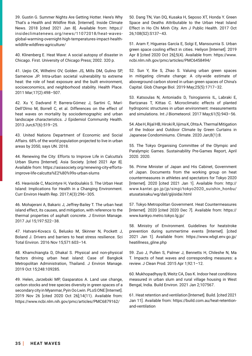39. Gustin G. Summer Nights Are Getting Hotter. Here's Why That's a Health and Wildfre Risk. [Internet]. Inside Climate News. 2018 [cited 2021 Jan 8]. Available from: https:// insideclimatenews.org/news/11072018/heat-wavesglobal-warming-overnight-high-temperatures-impact-healthwildlife-wildfres-agriculture/

40. Klinenberg E. Heat Wave: A social autopsy of disaster in Chicago. First. University of Chicago Press; 2002. 320 p.

41. Uejio CK, Wilhelmi OV, Golden JS, Mills DM, Gulino SP, Samenow JP. Intra-urban societal vulnerability to extreme heat: the role of heat exposure and the built environment, socioeconomics, and neighborhood stability. Health Place. 2011 Mar;17(2):498–507.

42. Xu Y, Dadvand P, Barrera-Gómez J, Sartini C, Marí-Dell'Olmo M, Borrell C, et al. Differences on the effect of heat waves on mortality by sociodemographic and urban landscape characteristics. J Epidemiol Community Health. 2013 Jun;67(6):519–25.

43. United Nations Department of Economic and Social Affairs. 68% of the world population projected to live in urban areas by 2050, says UN. 2018.

44. Renewing the City: Efforts to Improve Life in Calcutta's Urban Slums [Internet]. Asia Society. [cited 2021 Apr 8]. Available from: https://asiasociety.org/renewing-city-effortsimprove-life-calcutta%E2%80%99s-urban-slums

45. Heaviside C, Macintyre H, Vardoulakis S. The Urban Heat Island: Implications for Health in a Changing Environment. Curr Environ Health Rep. 2017;4(3):296–305.

46. Mohajerani A, Bakaric J, Jeffrey-Bailey T. The urban heat island effect, its causes, and mitigation, with reference to the thermal properties of asphalt concrete. J Environ Manage. 2017 Jul 15;197:522–38.

47. Hatvani-Kovacs G, Belusko M, Skinner N, Pockett J, Boland J. Drivers and barriers to heat stress resilience. Sci Total Environ. 2016 Nov 15;571:603–14.

48. Khamchiangta D, Dhakal S. Physical and non-physical factors driving urban heat island: Case of Bangkok Metropolitan Administration, Thailand. J Environ Manage. 2019 Oct 15;248:109285.

49. Helen, Jarzebski MP, Gasparatos A. Land use change, carbon stocks and tree species diversity in green spaces of a secondary city in Myanmar, Pyin Oo Lwin. PLoS ONE [Internet]. 2019 Nov 26 [cited 2020 Oct 26];14(11). Available from: https://www.ncbi.nlm.nih.gov/pmc/articles/PMC6879162/

50. Dang TN, Van DQ, Kusaka H, Seposo XT, Honda Y. Green Space and Deaths Attributable to the Urban Heat Island Effect in Ho Chi Minh City. Am J Public Health. 2017 Oct 26;108(S2):S137–43.

51. Aram F, Higueras García E, Solgi E, Mansournia S. Urban green space cooling effect in cities. Heliyon [Internet]. 2019 Apr 8 [cited 2020 Oct 26];5(4). Available from: https://www. ncbi.nlm.nih.gov/pmc/articles/PMC6458494/

52. Sun Y, Xie S, Zhao S. Valuing urban green spaces in mitigating climate change: A city-wide estimate of aboveground carbon stored in urban green spaces of China's Capital. Glob Change Biol. 2019 May;25(5):1717–32.

53. Katsoulas N, Antoniadis D, Tsirogiannis IL, Labraki E, Bartzanas T, Kittas C. Microclimatic effects of planted hydroponic structures in urban environment: measurements and simulations. Int J Biometeorol. 2017 May;61(5):943–56.

54. Abe H, Rijal HB, Hiroki R, Iijima K, Ohta A. Thermal Mitigation of the Indoor and Outdoor Climate by Green Curtains in Japanese Condominiums. Climate. 2020 Jan;8(1):8.

55. The Tokyo Organising Committee of the Olympic and Paralympic Games. Sustainability Pre-Games Report, April 2020. 2020.

56. Prime Minister of Japan and His Cabinet, Government of Japan. Documents from the working group on heat countermeasures in athletes and spectators for Tokyo 2020 [Internet]. 2020 [cited 2021 Jan 1]. Available from: http:// www.kantei.go.jp/jp/singi/tokyo2020\_suishin\_honbu/ atusataisaku/wg/dail/gijisidai.html

57. Tokyo Metropolitan Government. Heat Countermeasures [Internet]. 2020 [cited 2020 Dec 7]. Available from: https:// www.kankyo.metro.tokyo.lg.jp/

58. Ministry of Environment. Guidelines for heatstroke prevention during summertime events [Internet]. [cited 2021 Jan 1]. Available from: https://www.wbgt.env.go.jp/ heatillness\_gline.php

59. Zuo J, Pullen S, Palmer J, Bennetts H, Chileshe N, Ma T. Impacts of heat waves and corresponding measures: a review. J Clean Prod. 2015 Apr 1;92:1–12.

60. Mukhopadhyay B, Weitz CA, Das K. Indoor heat conditions measured in urban slum and rural village housing in West Bengal, India. Build Environ. 2021 Jan 2;107567.

61. Heat retention and ventilation [Internet]. Build. [cited 2021 Jan 11]. Available from: https://build.com.au/heat-retentionand-ventilation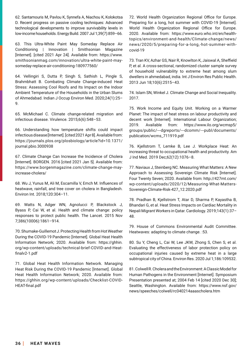62. Santamouris M, Pavlou K, Synnefa A, Niachou K, Kolokotsa D. Recent progress on passive cooling techniques: Advanced technological developments to improve survivability levels in low-income households. Energy Build. 2007 Jul 1;39(7):859–66.

63. This Ultra-White Paint May Someday Replace Air Conditioning | Innovation | Smithsonian Magazine [Internet]. [cited 2021 Apr 24]. Available from: https://www. smithsonianmag.com/innovation/ultra-white-paint-maysomeday-replace-air-conditioning-180977560/

64. Vellingiri S, Dutta P, Singh S, Sathish L, Pingle S, Brahmbhatt B. Combating Climate Change-induced Heat Stress: Assessing Cool Roofs and Its Impact on the Indoor Ambient Temperature of the Households in the Urban Slums of Ahmedabad. Indian J Occup Environ Med. 2020;24(1):25– 9.

65. McMichael C. Climate change-related migration and infectious disease. Virulence. 2015;6(6):548–53.

66. Understanding how temperature shifts could impact infectious disease [Internet]. [cited 2021 Apr 8]. Available from: https://journals.plos.org/plosbiology/article?id=10.1371/ journal.pbio.3000938

67. Climate Change Can Increase the Incidence of Cholera [Internet]. BORGEN. 2016 [cited 2021 Jan 5]. Available from: https://www.borgenmagazine.com/climate-change-mayincrease-cholera/

68. Wu J, Yunus M, Ali M, Escamilla V, Emch M. Infuences of heatwave, rainfall, and tree cover on cholera in Bangladesh. Environ Int. 2018;120:304–11.

69. Watts N, Adger WN, Agnolucci P, Blackstock J, Byass P, Cai W, et al. Health and climate change: policy responses to protect public health. The Lancet. 2015 Nov 7;386(10006):1861–914.

70. Shumake-Guillemot J. Protecting Health from Hot Weather During the COVID-19 Pandemic [Internet]. Global Heat Health Information Network; 2020. Available from: https://ghhin. org/wp-content/uploads/technical-brief-COVID-and-Heatfnalv2-1.pdf

71. Global Heat Health Information Network. Managing Heat Risk During the COVID-19 Pandemic [Internet]. Global Heat Health Information Network; 2020. Available from: https://ghhin.org/wp-content/uploads/Checklist-COVID-HEAT-final.pdf

72. World Health Organization Regional Office for Europe. Preparing for a long, hot summer with COVID-19 [Internet]. World Health Organization Regional Office for Europe. 2020. Available from: https://www.euro.who.int/en/healthtopics/environment-and-health/Climate-change/news/ news/2020/5/preparing-for-a-long,-hot-summer-withcovid-19

73. Tran KV, Azhar GS, Nair R, Knowlton K, Jaiswal A, Sheffield P, et al. A cross-sectional, randomized cluster sample survey of household vulnerability to extreme heat among slum dwellers in ahmedabad, india. Int J Environ Res Public Health. 2013 Jun 18;10(6):2515–43.

74. Islam SN, Winkel J. Climate Change and Social Inequality. 2017.

75. Work Income and Equity Unit. Working on a Warmer Planet: The impact of heat stress on labour productivity and decent work [Internet]. International Labour Organization; 2019. Available from: https://www.ilo.org/wcmsp5/ groups/public/---dgreports/---dcomm/---publ/documents/ publication/wcms\_711919.pdf

76. Kjellstrom T, Lemke B, Lee J. Workplace Heat: An increasing threat to occupational health and productivity. Am J Ind Med. 2019 Dec;62(12):1076–8.

77. Naviaux J, Steinberg NC. Measuring What Matters: A New Approach to Assessing Sovereign Climate Risk [Internet]. Four Twenty Seven; 2020. Available from: http://427mt.com/ wp-content/uploads/2020/12/Measuring-What-Matters-Sovereign-Climate-Risk-427\_12.2020.pdf

78. Pradhan B, Kjellstrom T, Atar D, Sharma P, Kayastha B, Bhandari G, et al. Heat Stress Impacts on Cardiac Mortality in Nepali Migrant Workers in Qatar. Cardiology. 2019;143(1):37– 48.

79. House of Commons Environmental Audit Committee. Heatwaves: adapting to climate change. :53.

80. Su Y, Cheng L, Cai W, Lee JKW, Zhong S, Chen S, et al. Evaluating the effectiveness of labor protection policy on occupational injuries caused by extreme heat in a large subtropical city of China. Environ Res. 2020 Jul 1;186:109532.

81. Colwell R. Cholera and the Environment: A Classic Model for Human Pathogens in the Environment [Internet]. Symposium Presentation presented at; 2004 Feb 14 [cited 2020 Dec 30]; Seattle, Washington. Available from: https://www.nsf.gov/ news/speeches/colwell/rc040214aaascholera.htm